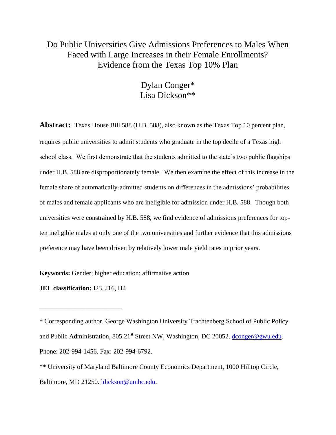## Do Public Universities Give Admissions Preferences to Males When Faced with Large Increases in their Female Enrollments? Evidence from the Texas Top 10% Plan

## Dylan Conger\* Lisa Dickson\*\*

**Abstract:** Texas House Bill 588 (H.B. 588), also known as the Texas Top 10 percent plan, requires public universities to admit students who graduate in the top decile of a Texas high school class. We first demonstrate that the students admitted to the state's two public flagships under H.B. 588 are disproportionately female. We then examine the effect of this increase in the female share of automatically-admitted students on differences in the admissions' probabilities of males and female applicants who are ineligible for admission under H.B. 588. Though both universities were constrained by H.B. 588, we find evidence of admissions preferences for topten ineligible males at only one of the two universities and further evidence that this admissions preference may have been driven by relatively lower male yield rates in prior years.

**Keywords:** Gender; higher education; affirmative action

**JEL classification:** I23, J16, H4

**\_\_\_\_\_\_\_\_\_\_\_\_\_\_\_\_\_\_\_\_\_\_\_\_\_**

<sup>\*</sup> Corresponding author. George Washington University Trachtenberg School of Public Policy and Public Administration, 805 21<sup>st</sup> Street NW, Washington, DC 20052. [dconger@gwu.edu.](mailto:dconger@gwu.edu) Phone: 202-994-1456. Fax: 202-994-6792.

<sup>\*\*</sup> University of Maryland Baltimore County Economics Department, 1000 Hilltop Circle, Baltimore, MD 21250. [ldickson@umbc.edu.](mailto:ldickson@umbc.edu)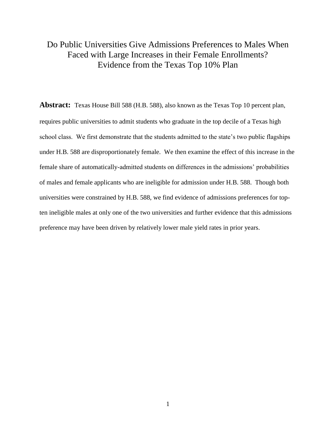## Do Public Universities Give Admissions Preferences to Males When Faced with Large Increases in their Female Enrollments? Evidence from the Texas Top 10% Plan

**Abstract:** Texas House Bill 588 (H.B. 588), also known as the Texas Top 10 percent plan, requires public universities to admit students who graduate in the top decile of a Texas high school class. We first demonstrate that the students admitted to the state's two public flagships under H.B. 588 are disproportionately female. We then examine the effect of this increase in the female share of automatically-admitted students on differences in the admissions' probabilities of males and female applicants who are ineligible for admission under H.B. 588. Though both universities were constrained by H.B. 588, we find evidence of admissions preferences for topten ineligible males at only one of the two universities and further evidence that this admissions preference may have been driven by relatively lower male yield rates in prior years.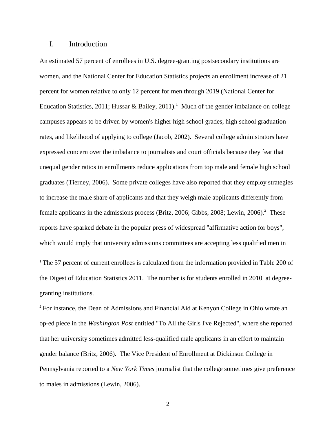## I. Introduction

 $\overline{a}$ 

An estimated 57 percent of enrollees in U.S. degree-granting postsecondary institutions are women, and the National Center for Education Statistics projects an enrollment increase of 21 percent for women relative to only 12 percent for men through 2019 (National Center for Education Statistics, 2011; Hussar & Bailey, 2011).<sup>1</sup> Much of the gender imbalance on college campuses appears to be driven by women's higher high school grades, high school graduation rates, and likelihood of applying to college (Jacob, 2002). Several college administrators have expressed concern over the imbalance to journalists and court officials because they fear that unequal gender ratios in enrollments reduce applications from top male and female high school graduates (Tierney, 2006). Some private colleges have also reported that they employ strategies to increase the male share of applicants and that they weigh male applicants differently from female applicants in the admissions process (Britz, 2006; Gibbs, 2008; Lewin, 2006).<sup>2</sup> These reports have sparked debate in the popular press of widespread "affirmative action for boys", which would imply that university admissions committees are accepting less qualified men in

<sup>1</sup> The 57 percent of current enrollees is calculated from the information provided in Table 200 of the Digest of Education Statistics 2011. The number is for students enrolled in 2010 at degreegranting institutions.

<sup>2</sup> For instance, the Dean of Admissions and Financial Aid at Kenyon College in Ohio wrote an op-ed piece in the *Washington Post* entitled "To All the Girls I've Rejected", where she reported that her university sometimes admitted less-qualified male applicants in an effort to maintain gender balance (Britz, 2006). The Vice President of Enrollment at Dickinson College in Pennsylvania reported to a *New York Times* journalist that the college sometimes give preference to males in admissions (Lewin, 2006).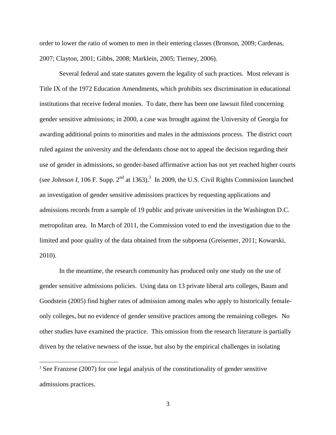order to lower the ratio of women to men in their entering classes (Bronson, 2009; Cardenas, 2007; Clayton, 2001; Gibbs, 2008; Marklein, 2005; Tierney, 2006).

Several federal and state statutes govern the legality of such practices. Most relevant is Title IX of the 1972 Education Amendments, which prohibits sex discrimination in educational institutions that receive federal monies. To date, there has been one lawsuit filed concerning gender sensitive admissions; in 2000, a case was brought against the University of Georgia for awarding additional points to minorities and males in the admissions process. The district court ruled against the university and the defendants chose not to appeal the decision regarding their use of gender in admissions, so gender-based affirmative action has not yet reached higher courts (see *Johnson I*, 106 F. Supp.  $2<sup>nd</sup>$  at 1363).<sup>3</sup> In 2009, the U.S. Civil Rights Commission launched an investigation of gender sensitive admissions practices by requesting applications and admissions records from a sample of 19 public and private universities in the Washington D.C. metropolitan area. In March of 2011, the Commission voted to end the investigation due to the limited and poor quality of the data obtained from the subpoena (Greisemer, 2011; Kowarski, 2010).

In the meantime, the research community has produced only one study on the use of gender sensitive admissions policies. Using data on 13 private liberal arts colleges, Baum and Goodstein (2005) find higher rates of admission among males who apply to historically femaleonly colleges, but no evidence of gender sensitive practices among the remaining colleges. No other studies have examined the practice. This omission from the research literature is partially driven by the relative newness of the issue, but also by the empirical challenges in isolating

 $\overline{a}$ 

<sup>&</sup>lt;sup>3</sup> See Franzese (2007) for one legal analysis of the constitutionality of gender sensitive admissions practices.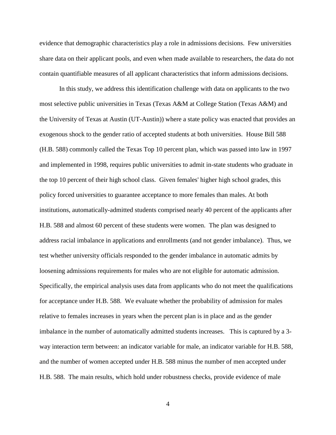evidence that demographic characteristics play a role in admissions decisions. Few universities share data on their applicant pools, and even when made available to researchers, the data do not contain quantifiable measures of all applicant characteristics that inform admissions decisions.

In this study, we address this identification challenge with data on applicants to the two most selective public universities in Texas (Texas A&M at College Station (Texas A&M) and the University of Texas at Austin (UT-Austin)) where a state policy was enacted that provides an exogenous shock to the gender ratio of accepted students at both universities. House Bill 588 (H.B. 588) commonly called the Texas Top 10 percent plan, which was passed into law in 1997 and implemented in 1998, requires public universities to admit in-state students who graduate in the top 10 percent of their high school class. Given females' higher high school grades, this policy forced universities to guarantee acceptance to more females than males. At both institutions, automatically-admitted students comprised nearly 40 percent of the applicants after H.B. 588 and almost 60 percent of these students were women. The plan was designed to address racial imbalance in applications and enrollments (and not gender imbalance). Thus, we test whether university officials responded to the gender imbalance in automatic admits by loosening admissions requirements for males who are not eligible for automatic admission. Specifically, the empirical analysis uses data from applicants who do not meet the qualifications for acceptance under H.B. 588. We evaluate whether the probability of admission for males relative to females increases in years when the percent plan is in place and as the gender imbalance in the number of automatically admitted students increases. This is captured by a 3 way interaction term between: an indicator variable for male, an indicator variable for H.B. 588, and the number of women accepted under H.B. 588 minus the number of men accepted under H.B. 588. The main results, which hold under robustness checks, provide evidence of male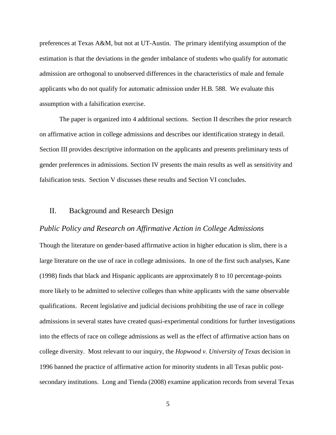preferences at Texas A&M, but not at UT-Austin. The primary identifying assumption of the estimation is that the deviations in the gender imbalance of students who qualify for automatic admission are orthogonal to unobserved differences in the characteristics of male and female applicants who do not qualify for automatic admission under H.B. 588. We evaluate this assumption with a falsification exercise.

The paper is organized into 4 additional sections. Section II describes the prior research on affirmative action in college admissions and describes our identification strategy in detail. Section III provides descriptive information on the applicants and presents preliminary tests of gender preferences in admissions. Section IV presents the main results as well as sensitivity and falsification tests. Section V discusses these results and Section VI concludes.

## II. Background and Research Design

#### *Public Policy and Research on Affirmative Action in College Admissions*

Though the literature on gender-based affirmative action in higher education is slim, there is a large literature on the use of race in college admissions. In one of the first such analyses, Kane (1998) finds that black and Hispanic applicants are approximately 8 to 10 percentage-points more likely to be admitted to selective colleges than white applicants with the same observable qualifications. Recent legislative and judicial decisions prohibiting the use of race in college admissions in several states have created quasi-experimental conditions for further investigations into the effects of race on college admissions as well as the effect of affirmative action bans on college diversity. Most relevant to our inquiry, the *Hopwood v. University of Texas* decision in 1996 banned the practice of affirmative action for minority students in all Texas public postsecondary institutions. Long and Tienda (2008) examine application records from several Texas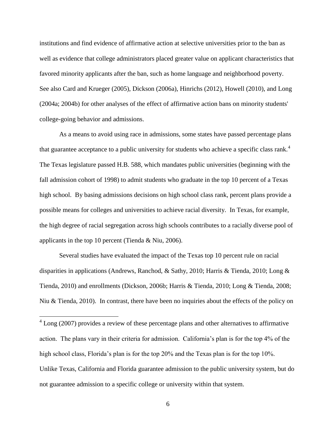institutions and find evidence of affirmative action at selective universities prior to the ban as well as evidence that college administrators placed greater value on applicant characteristics that favored minority applicants after the ban, such as home language and neighborhood poverty. See also Card and Krueger (2005), Dickson (2006a), Hinrichs (2012), Howell (2010), and Long (2004a; 2004b) for other analyses of the effect of affirmative action bans on minority students' college-going behavior and admissions.

As a means to avoid using race in admissions, some states have passed percentage plans that guarantee acceptance to a public university for students who achieve a specific class rank.<sup>4</sup> The Texas legislature passed H.B. 588, which mandates public universities (beginning with the fall admission cohort of 1998) to admit students who graduate in the top 10 percent of a Texas high school. By basing admissions decisions on high school class rank, percent plans provide a possible means for colleges and universities to achieve racial diversity. In Texas, for example, the high degree of racial segregation across high schools contributes to a racially diverse pool of applicants in the top 10 percent (Tienda & Niu, 2006).

Several studies have evaluated the impact of the Texas top 10 percent rule on racial disparities in applications (Andrews, Ranchod, & Sathy, 2010; Harris & Tienda, 2010; Long & Tienda, 2010) and enrollments (Dickson, 2006b; Harris & Tienda, 2010; Long & Tienda, 2008; Niu & Tienda, 2010). In contrast, there have been no inquiries about the effects of the policy on

 $\overline{a}$ 

 $4$  Long (2007) provides a review of these percentage plans and other alternatives to affirmative action. The plans vary in their criteria for admission. California's plan is for the top 4% of the high school class, Florida's plan is for the top 20% and the Texas plan is for the top 10%. Unlike Texas, California and Florida guarantee admission to the public university system, but do not guarantee admission to a specific college or university within that system.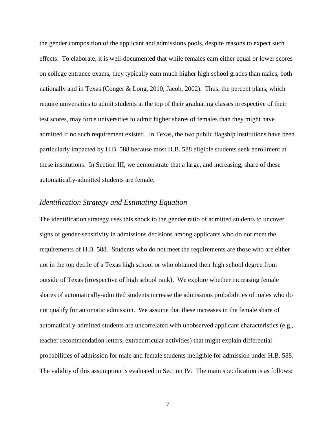the gender composition of the applicant and admissions pools, despite reasons to expect such effects. To elaborate, it is well-documented that while females earn either equal or lower scores on college entrance exams, they typically earn much higher high school grades than males, both nationally and in Texas (Conger & Long, 2010; Jacob, 2002). Thus, the percent plans, which require universities to admit students at the top of their graduating classes irrespective of their test scores, may force universities to admit higher shares of females than they might have admitted if no such requirement existed. In Texas, the two public flagship institutions have been particularly impacted by H.B. 588 because most H.B. 588 eligible students seek enrollment at these institutions. In Section III, we demonstrate that a large, and increasing, share of these automatically-admitted students are female.

## *Identification Strategy and Estimating Equation*

The identification strategy uses this shock to the gender ratio of admitted students to uncover signs of gender-sensitivity in admissions decisions among applicants who do not meet the requirements of H.B. 588. Students who do not meet the requirements are those who are either not in the top decile of a Texas high school or who obtained their high school degree from outside of Texas (irrespective of high school rank). We explore whether increasing female shares of automatically-admitted students increase the admissions probabilities of males who do not qualify for automatic admission. We assume that these increases in the female share of automatically-admitted students are uncorrelated with unobserved applicant characteristics (e.g., teacher recommendation letters, extracurricular activities) that might explain differential probabilities of admission for male and female students ineligible for admission under H.B. 588. The validity of this assumption is evaluated in Section IV. The main specification is as follows: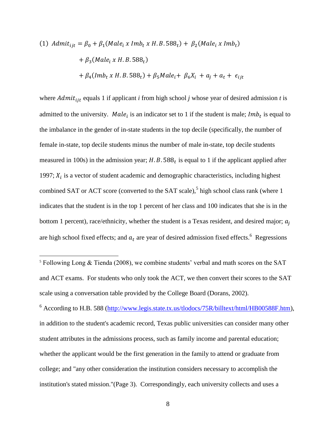(1) 
$$
Admit_{ijt} = \beta_0 + \beta_1 (Male_i \times Imb_t \times H.B. 588_t) + \beta_2 (Male_i \times Imb_t)
$$
  
+  $\beta_3 (Male_i \times H.B. 588_t)$   
+  $\beta_4 (Imb_t \times H.B. 588_t) + \beta_5 Male_i + \beta_6 X_i + a_j + a_t + \epsilon_{ijt}$ 

where  $Admit_{i\,j\,t}$  equals 1 if applicant *i* from high school *j* whose year of desired admission *t* is admitted to the university. Male<sub>i</sub> is an indicator set to 1 if the student is male;  $Imb_t$  is equal to the imbalance in the gender of in-state students in the top decile (specifically, the number of female in-state, top decile students minus the number of male in-state, top decile students measured in 100s) in the admission year;  $H.B. 588<sub>t</sub>$  is equal to 1 if the applicant applied after 1997;  $X_i$  is a vector of student academic and demographic characteristics, including highest combined SAT or ACT score (converted to the SAT scale),<sup>5</sup> high school class rank (where  $1$ indicates that the student is in the top 1 percent of her class and 100 indicates that she is in the bottom 1 percent), race/ethnicity, whether the student is a Texas resident, and desired major;  $a_i$ are high school fixed effects; and  $a_t$  are year of desired admission fixed effects.<sup>6</sup> Regressions

 $\overline{a}$ 

<sup>6</sup> According to H.B. 588 [\(http://www.legis.state.tx.us/tlodocs/75R/billtext/html/HB00588F.htm\)](http://www.legis.state.tx.us/tlodocs/75R/billtext/html/HB00588F.htm), in addition to the student's academic record, Texas public universities can consider many other student attributes in the admissions process, such as family income and parental education; whether the applicant would be the first generation in the family to attend or graduate from college; and "any other consideration the institution considers necessary to accomplish the institution's stated mission."(Page 3). Correspondingly, each university collects and uses a

 $5$  Following Long & Tienda (2008), we combine students' verbal and math scores on the SAT and ACT exams. For students who only took the ACT, we then convert their scores to the SAT scale using a conversation table provided by the College Board (Dorans, 2002).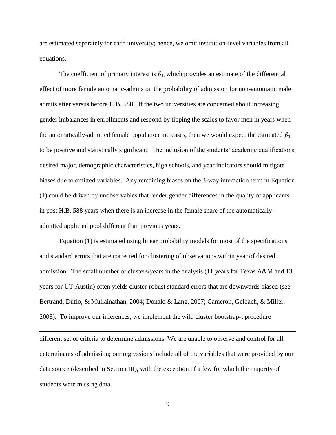are estimated separately for each university; hence, we omit institution-level variables from all equations.

The coefficient of primary interest is  $\beta_1$ , which provides an estimate of the differential effect of more female automatic-admits on the probability of admission for non-automatic male admits after versus before H.B. 588. If the two universities are concerned about increasing gender imbalances in enrollments and respond by tipping the scales to favor men in years when the automatically-admitted female population increases, then we would expect the estimated  $\beta_1$ to be positive and statistically significant. The inclusion of the students' academic qualifications, desired major, demographic characteristics, high schools, and year indicators should mitigate biases due to omitted variables. Any remaining biases on the 3-way interaction term in Equation (1) could be driven by unobservables that render gender differences in the quality of applicants in post H.B. 588 years when there is an increase in the female share of the automaticallyadmitted applicant pool different than previous years.

Equation (1) is estimated using linear probability models for most of the specifications and standard errors that are corrected for clustering of observations within year of desired admission. The small number of clusters/years in the analysis (11 years for Texas A&M and 13 years for UT-Austin) often yields cluster-robust standard errors that are downwards biased (see Bertrand, Duflo, & Mullainathan, 2004; Donald & Lang, 2007; Cameron, Gelbach, & Miller. 2008). To improve our inferences, we implement the wild cluster bootstrap-t procedure

different set of criteria to determine admissions. We are unable to observe and control for all determinants of admission; our regressions include all of the variables that were provided by our data source (described in Section III), with the exception of a few for which the majority of students were missing data.

 $\overline{a}$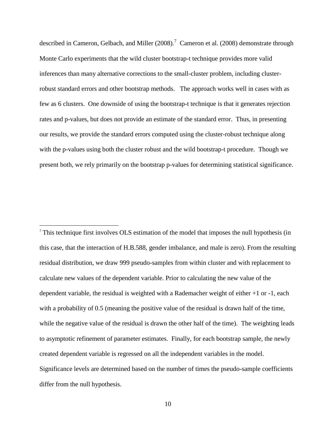described in Cameron, Gelbach, and Miller  $(2008)$ .<sup>7</sup> Cameron et al.  $(2008)$  demonstrate through Monte Carlo experiments that the wild cluster bootstrap-t technique provides more valid inferences than many alternative corrections to the small-cluster problem, including clusterrobust standard errors and other bootstrap methods. The approach works well in cases with as few as 6 clusters. One downside of using the bootstrap-t technique is that it generates rejection rates and p-values, but does not provide an estimate of the standard error. Thus, in presenting our results, we provide the standard errors computed using the cluster-robust technique along with the p-values using both the cluster robust and the wild bootstrap-t procedure. Though we present both, we rely primarily on the bootstrap p-values for determining statistical significance.

<sup>7</sup> This technique first involves OLS estimation of the model that imposes the null hypothesis (in this case, that the interaction of H.B.588, gender imbalance, and male is zero). From the resulting residual distribution, we draw 999 pseudo-samples from within cluster and with replacement to calculate new values of the dependent variable. Prior to calculating the new value of the dependent variable, the residual is weighted with a Rademacher weight of either +1 or -1, each with a probability of 0.5 (meaning the positive value of the residual is drawn half of the time, while the negative value of the residual is drawn the other half of the time). The weighting leads to asymptotic refinement of parameter estimates. Finally, for each bootstrap sample, the newly created dependent variable is regressed on all the independent variables in the model. Significance levels are determined based on the number of times the pseudo-sample coefficients differ from the null hypothesis.

 $\overline{a}$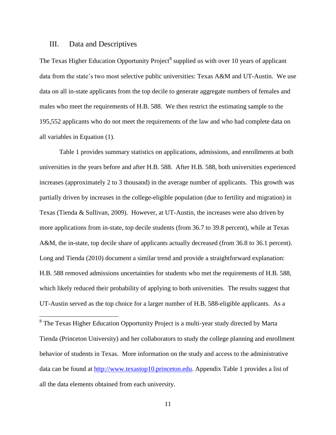#### III. Data and Descriptives

 $\overline{a}$ 

The Texas Higher Education Opportunity Project<sup>8</sup> supplied us with over 10 years of applicant data from the state's two most selective public universities: Texas A&M and UT-Austin. We use data on all in-state applicants from the top decile to generate aggregate numbers of females and males who meet the requirements of H.B. 588. We then restrict the estimating sample to the 195,552 applicants who do not meet the requirements of the law and who had complete data on all variables in Equation (1).

Table 1 provides summary statistics on applications, admissions, and enrollments at both universities in the years before and after H.B. 588. After H.B. 588, both universities experienced increases (approximately 2 to 3 thousand) in the average number of applicants. This growth was partially driven by increases in the college-eligible population (due to fertility and migration) in Texas (Tienda & Sullivan, 2009). However, at UT-Austin, the increases were also driven by more applications from in-state, top decile students (from 36.7 to 39.8 percent), while at Texas A&M, the in-state, top decile share of applicants actually decreased (from 36.8 to 36.1 percent). Long and Tienda (2010) document a similar trend and provide a straightforward explanation: H.B. 588 removed admissions uncertainties for students who met the requirements of H.B. 588, which likely reduced their probability of applying to both universities. The results suggest that UT-Austin served as the top choice for a larger number of H.B. 588-eligible applicants. As a

<sup>8</sup> The Texas Higher Education Opportunity Project is a multi-year study directed by Marta Tienda (Princeton University) and her collaborators to study the college planning and enrollment behavior of students in Texas. More information on the study and access to the administrative data can be found at [http://www.texastop10.princeton.edu.](http://www.texastop10.princeton.edu/) Appendix Table 1 provides a list of all the data elements obtained from each university.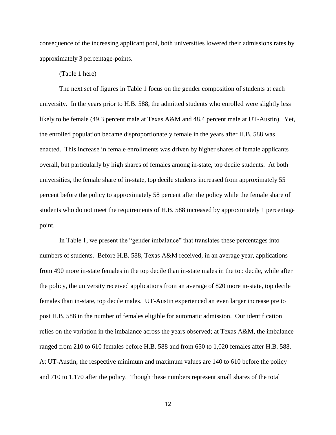consequence of the increasing applicant pool, both universities lowered their admissions rates by approximately 3 percentage-points.

### (Table 1 here)

The next set of figures in Table 1 focus on the gender composition of students at each university. In the years prior to H.B. 588, the admitted students who enrolled were slightly less likely to be female (49.3 percent male at Texas A&M and 48.4 percent male at UT-Austin). Yet, the enrolled population became disproportionately female in the years after H.B. 588 was enacted. This increase in female enrollments was driven by higher shares of female applicants overall, but particularly by high shares of females among in-state, top decile students. At both universities, the female share of in-state, top decile students increased from approximately 55 percent before the policy to approximately 58 percent after the policy while the female share of students who do not meet the requirements of H.B. 588 increased by approximately 1 percentage point.

In Table 1, we present the "gender imbalance" that translates these percentages into numbers of students. Before H.B. 588, Texas A&M received, in an average year, applications from 490 more in-state females in the top decile than in-state males in the top decile, while after the policy, the university received applications from an average of 820 more in-state, top decile females than in-state, top decile males. UT-Austin experienced an even larger increase pre to post H.B. 588 in the number of females eligible for automatic admission. Our identification relies on the variation in the imbalance across the years observed; at Texas A&M, the imbalance ranged from 210 to 610 females before H.B. 588 and from 650 to 1,020 females after H.B. 588. At UT-Austin, the respective minimum and maximum values are 140 to 610 before the policy and 710 to 1,170 after the policy. Though these numbers represent small shares of the total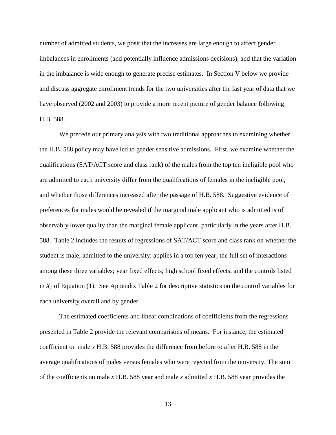number of admitted students, we posit that the increases are large enough to affect gender imbalances in enrollments (and potentially influence admissions decisions), and that the variation in the imbalance is wide enough to generate precise estimates. In Section V below we provide and discuss aggregate enrollment trends for the two universities after the last year of data that we have observed (2002 and 2003) to provide a more recent picture of gender balance following H.B. 588.

We precede our primary analysis with two traditional approaches to examining whether the H.B. 588 policy may have led to gender sensitive admissions. First, we examine whether the qualifications (SAT/ACT score and class rank) of the males from the top ten ineligible pool who are admitted to each university differ from the qualifications of females in the ineligible pool, and whether those differences increased after the passage of H.B. 588. Suggestive evidence of preferences for males would be revealed if the marginal male applicant who is admitted is of observably lower quality than the marginal female applicant, particularly in the years after H.B. 588. Table 2 includes the results of regressions of SAT/ACT score and class rank on whether the student is male; admitted to the university; applies in a top ten year; the full set of interactions among these three variables; year fixed effects; high school fixed effects, and the controls listed in  $X_i$  of Equation (1). See Appendix Table 2 for descriptive statistics on the control variables for each university overall and by gender.

The estimated coefficients and linear combinations of coefficients from the regressions presented in Table 2 provide the relevant comparisons of means. For instance, the estimated coefficient on male *x* H.B. 588 provides the difference from before to after H.B. 588 in the average qualifications of males versus females who were rejected from the university. The sum of the coefficients on male *x* H.B. 588 year and male *x* admitted *x* H.B. 588 year provides the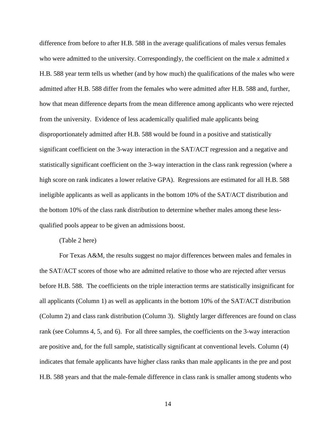difference from before to after H.B. 588 in the average qualifications of males versus females who were admitted to the university. Correspondingly, the coefficient on the male *x* admitted *x* H.B. 588 year term tells us whether (and by how much) the qualifications of the males who were admitted after H.B. 588 differ from the females who were admitted after H.B. 588 and, further, how that mean difference departs from the mean difference among applicants who were rejected from the university. Evidence of less academically qualified male applicants being disproportionately admitted after H.B. 588 would be found in a positive and statistically significant coefficient on the 3-way interaction in the SAT/ACT regression and a negative and statistically significant coefficient on the 3-way interaction in the class rank regression (where a high score on rank indicates a lower relative GPA). Regressions are estimated for all H.B. 588 ineligible applicants as well as applicants in the bottom 10% of the SAT/ACT distribution and the bottom 10% of the class rank distribution to determine whether males among these lessqualified pools appear to be given an admissions boost.

(Table 2 here)

For Texas A&M, the results suggest no major differences between males and females in the SAT/ACT scores of those who are admitted relative to those who are rejected after versus before H.B. 588. The coefficients on the triple interaction terms are statistically insignificant for all applicants (Column 1) as well as applicants in the bottom 10% of the SAT/ACT distribution (Column 2) and class rank distribution (Column 3). Slightly larger differences are found on class rank (see Columns 4, 5, and 6). For all three samples, the coefficients on the 3-way interaction are positive and, for the full sample, statistically significant at conventional levels. Column (4) indicates that female applicants have higher class ranks than male applicants in the pre and post H.B. 588 years and that the male-female difference in class rank is smaller among students who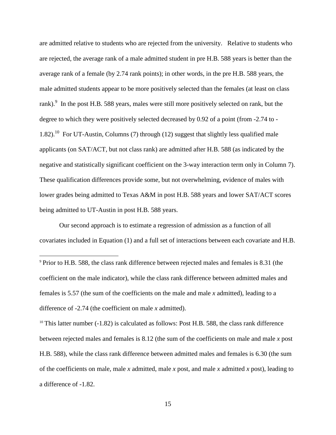are admitted relative to students who are rejected from the university. Relative to students who are rejected, the average rank of a male admitted student in pre H.B. 588 years is better than the average rank of a female (by 2.74 rank points); in other words, in the pre H.B. 588 years, the male admitted students appear to be more positively selected than the females (at least on class rank).<sup>9</sup> In the post H.B. 588 years, males were still more positively selected on rank, but the degree to which they were positively selected decreased by 0.92 of a point (from -2.74 to - 1.82).<sup>10</sup> For UT-Austin, Columns (7) through (12) suggest that slightly less qualified male applicants (on SAT/ACT, but not class rank) are admitted after H.B. 588 (as indicated by the negative and statistically significant coefficient on the 3-way interaction term only in Column 7). These qualification differences provide some, but not overwhelming, evidence of males with lower grades being admitted to Texas A&M in post H.B. 588 years and lower SAT/ACT scores being admitted to UT-Austin in post H.B. 588 years.

Our second approach is to estimate a regression of admission as a function of all covariates included in Equation (1) and a full set of interactions between each covariate and H.B.

 $\overline{a}$ 

 $10$  This latter number (-1.82) is calculated as follows: Post H.B. 588, the class rank difference between rejected males and females is 8.12 (the sum of the coefficients on male and male *x* post H.B. 588), while the class rank difference between admitted males and females is 6.30 (the sum of the coefficients on male, male *x* admitted, male *x* post, and male *x* admitted *x* post), leading to a difference of -1.82.

<sup>&</sup>lt;sup>9</sup> Prior to H.B. 588, the class rank difference between rejected males and females is 8.31 (the coefficient on the male indicator), while the class rank difference between admitted males and females is 5.57 (the sum of the coefficients on the male and male *x* admitted), leading to a difference of -2.74 (the coefficient on male *x* admitted).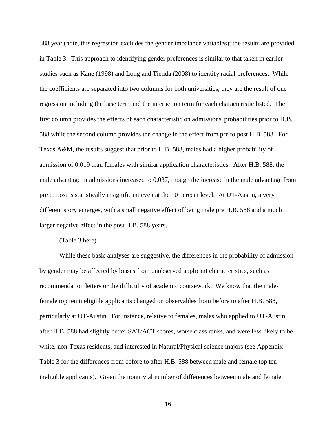588 year (note, this regression excludes the gender imbalance variables); the results are provided in Table 3. This approach to identifying gender preferences is similar to that taken in earlier studies such as Kane (1998) and Long and Tienda (2008) to identify racial preferences. While the coefficients are separated into two columns for both universities, they are the result of one regression including the base term and the interaction term for each characteristic listed. The first column provides the effects of each characteristic on admissions' probabilities prior to H.B. 588 while the second column provides the change in the effect from pre to post H.B. 588. For Texas A&M, the results suggest that prior to H.B. 588, males had a higher probability of admission of 0.019 than females with similar application characteristics. After H.B. 588, the male advantage in admissions increased to 0.037, though the increase in the male advantage from pre to post is statistically insignificant even at the 10 percent level. At UT-Austin, a very different story emerges, with a small negative effect of being male pre H.B. 588 and a much larger negative effect in the post H.B. 588 years.

#### (Table 3 here)

While these basic analyses are suggestive, the differences in the probability of admission by gender may be affected by biases from unobserved applicant characteristics, such as recommendation letters or the difficulty of academic coursework. We know that the malefemale top ten ineligible applicants changed on observables from before to after H.B. 588, particularly at UT-Austin. For instance, relative to females, males who applied to UT-Austin after H.B. 588 had slightly better SAT/ACT scores, worse class ranks, and were less likely to be white, non-Texas residents, and interested in Natural/Physical science majors (see Appendix Table 3 for the differences from before to after H.B. 588 between male and female top ten ineligible applicants). Given the nontrivial number of differences between male and female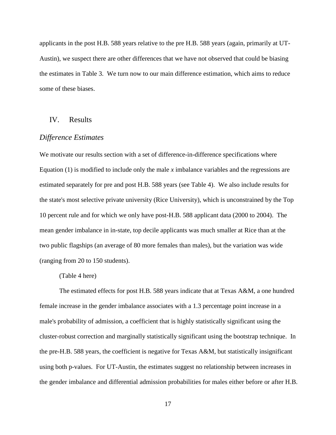applicants in the post H.B. 588 years relative to the pre H.B. 588 years (again, primarily at UT-Austin), we suspect there are other differences that we have not observed that could be biasing the estimates in Table 3. We turn now to our main difference estimation, which aims to reduce some of these biases.

## IV. Results

#### *Difference Estimates*

We motivate our results section with a set of difference-in-difference specifications where Equation (1) is modified to include only the male *x* imbalance variables and the regressions are estimated separately for pre and post H.B. 588 years (see Table 4). We also include results for the state's most selective private university (Rice University), which is unconstrained by the Top 10 percent rule and for which we only have post-H.B. 588 applicant data (2000 to 2004). The mean gender imbalance in in-state, top decile applicants was much smaller at Rice than at the two public flagships (an average of 80 more females than males), but the variation was wide (ranging from 20 to 150 students).

#### (Table 4 here)

The estimated effects for post H.B. 588 years indicate that at Texas A&M, a one hundred female increase in the gender imbalance associates with a 1.3 percentage point increase in a male's probability of admission, a coefficient that is highly statistically significant using the cluster-robust correction and marginally statistically significant using the bootstrap technique. In the pre-H.B. 588 years, the coefficient is negative for Texas A&M, but statistically insignificant using both p-values. For UT-Austin, the estimates suggest no relationship between increases in the gender imbalance and differential admission probabilities for males either before or after H.B.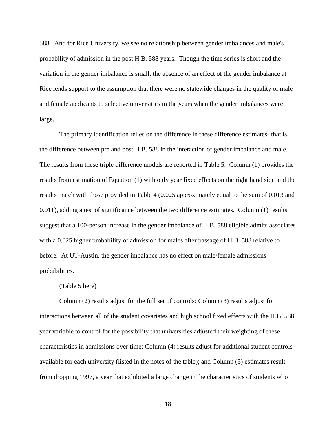588. And for Rice University, we see no relationship between gender imbalances and male's probability of admission in the post H.B. 588 years. Though the time series is short and the variation in the gender imbalance is small, the absence of an effect of the gender imbalance at Rice lends support to the assumption that there were no statewide changes in the quality of male and female applicants to selective universities in the years when the gender imbalances were large.

The primary identification relies on the difference in these difference estimates- that is, the difference between pre and post H.B. 588 in the interaction of gender imbalance and male. The results from these triple difference models are reported in Table 5. Column (1) provides the results from estimation of Equation (1) with only year fixed effects on the right hand side and the results match with those provided in Table 4 (0.025 approximately equal to the sum of 0.013 and 0.011), adding a test of significance between the two difference estimates. Column (1) results suggest that a 100-person increase in the gender imbalance of H.B. 588 eligible admits associates with a 0.025 higher probability of admission for males after passage of H.B. 588 relative to before. At UT-Austin, the gender imbalance has no effect on male/female admissions probabilities.

#### (Table 5 here)

Column (2) results adjust for the full set of controls; Column (3) results adjust for interactions between all of the student covariates and high school fixed effects with the H.B. 588 year variable to control for the possibility that universities adjusted their weighting of these characteristics in admissions over time; Column (4) results adjust for additional student controls available for each university (listed in the notes of the table); and Column (5) estimates result from dropping 1997, a year that exhibited a large change in the characteristics of students who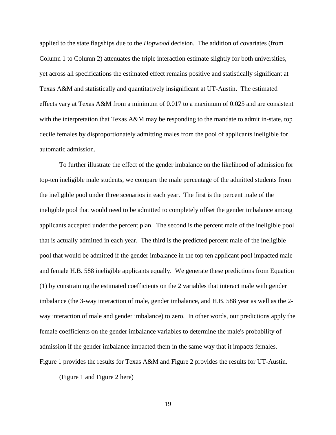applied to the state flagships due to the *Hopwood* decision. The addition of covariates (from Column 1 to Column 2) attenuates the triple interaction estimate slightly for both universities, yet across all specifications the estimated effect remains positive and statistically significant at Texas A&M and statistically and quantitatively insignificant at UT-Austin. The estimated effects vary at Texas A&M from a minimum of 0.017 to a maximum of 0.025 and are consistent with the interpretation that Texas A&M may be responding to the mandate to admit in-state, top decile females by disproportionately admitting males from the pool of applicants ineligible for automatic admission.

To further illustrate the effect of the gender imbalance on the likelihood of admission for top-ten ineligible male students, we compare the male percentage of the admitted students from the ineligible pool under three scenarios in each year. The first is the percent male of the ineligible pool that would need to be admitted to completely offset the gender imbalance among applicants accepted under the percent plan. The second is the percent male of the ineligible pool that is actually admitted in each year. The third is the predicted percent male of the ineligible pool that would be admitted if the gender imbalance in the top ten applicant pool impacted male and female H.B. 588 ineligible applicants equally. We generate these predictions from Equation (1) by constraining the estimated coefficients on the 2 variables that interact male with gender imbalance (the 3-way interaction of male, gender imbalance, and H.B. 588 year as well as the 2 way interaction of male and gender imbalance) to zero. In other words, our predictions apply the female coefficients on the gender imbalance variables to determine the male's probability of admission if the gender imbalance impacted them in the same way that it impacts females. Figure 1 provides the results for Texas A&M and Figure 2 provides the results for UT-Austin.

(Figure 1 and Figure 2 here)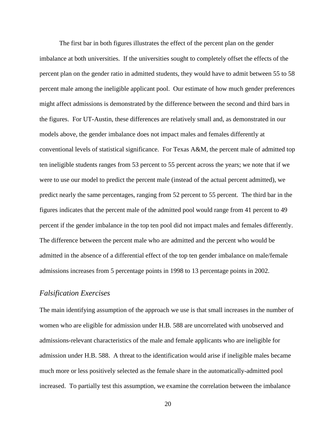The first bar in both figures illustrates the effect of the percent plan on the gender imbalance at both universities. If the universities sought to completely offset the effects of the percent plan on the gender ratio in admitted students, they would have to admit between 55 to 58 percent male among the ineligible applicant pool. Our estimate of how much gender preferences might affect admissions is demonstrated by the difference between the second and third bars in the figures. For UT-Austin, these differences are relatively small and, as demonstrated in our models above, the gender imbalance does not impact males and females differently at conventional levels of statistical significance. For Texas A&M, the percent male of admitted top ten ineligible students ranges from 53 percent to 55 percent across the years; we note that if we were to use our model to predict the percent male (instead of the actual percent admitted), we predict nearly the same percentages, ranging from 52 percent to 55 percent. The third bar in the figures indicates that the percent male of the admitted pool would range from 41 percent to 49 percent if the gender imbalance in the top ten pool did not impact males and females differently. The difference between the percent male who are admitted and the percent who would be admitted in the absence of a differential effect of the top ten gender imbalance on male/female admissions increases from 5 percentage points in 1998 to 13 percentage points in 2002.

## *Falsification Exercises*

The main identifying assumption of the approach we use is that small increases in the number of women who are eligible for admission under H.B. 588 are uncorrelated with unobserved and admissions-relevant characteristics of the male and female applicants who are ineligible for admission under H.B. 588. A threat to the identification would arise if ineligible males became much more or less positively selected as the female share in the automatically-admitted pool increased. To partially test this assumption, we examine the correlation between the imbalance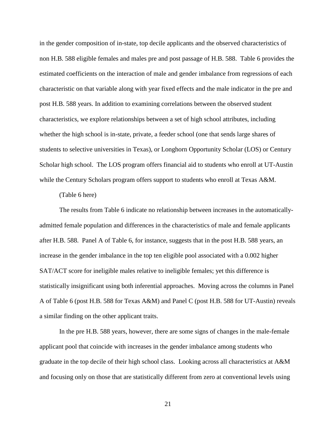in the gender composition of in-state, top decile applicants and the observed characteristics of non H.B. 588 eligible females and males pre and post passage of H.B. 588. Table 6 provides the estimated coefficients on the interaction of male and gender imbalance from regressions of each characteristic on that variable along with year fixed effects and the male indicator in the pre and post H.B. 588 years. In addition to examining correlations between the observed student characteristics, we explore relationships between a set of high school attributes, including whether the high school is in-state, private, a feeder school (one that sends large shares of students to selective universities in Texas), or Longhorn Opportunity Scholar (LOS) or Century Scholar high school. The LOS program offers financial aid to students who enroll at UT-Austin while the Century Scholars program offers support to students who enroll at Texas A&M.

#### (Table 6 here)

The results from Table 6 indicate no relationship between increases in the automaticallyadmitted female population and differences in the characteristics of male and female applicants after H.B. 588. Panel A of Table 6, for instance, suggests that in the post H.B. 588 years, an increase in the gender imbalance in the top ten eligible pool associated with a 0.002 higher SAT/ACT score for ineligible males relative to ineligible females; yet this difference is statistically insignificant using both inferential approaches. Moving across the columns in Panel A of Table 6 (post H.B. 588 for Texas A&M) and Panel C (post H.B. 588 for UT-Austin) reveals a similar finding on the other applicant traits.

In the pre H.B. 588 years, however, there are some signs of changes in the male-female applicant pool that coincide with increases in the gender imbalance among students who graduate in the top decile of their high school class. Looking across all characteristics at A&M and focusing only on those that are statistically different from zero at conventional levels using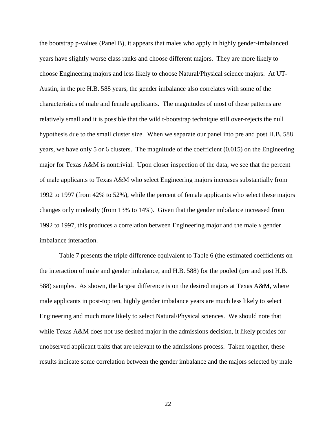the bootstrap p-values (Panel B), it appears that males who apply in highly gender-imbalanced years have slightly worse class ranks and choose different majors. They are more likely to choose Engineering majors and less likely to choose Natural/Physical science majors. At UT-Austin, in the pre H.B. 588 years, the gender imbalance also correlates with some of the characteristics of male and female applicants. The magnitudes of most of these patterns are relatively small and it is possible that the wild t-bootstrap technique still over-rejects the null hypothesis due to the small cluster size. When we separate our panel into pre and post H.B. 588 years, we have only 5 or 6 clusters. The magnitude of the coefficient (0.015) on the Engineering major for Texas A&M is nontrivial. Upon closer inspection of the data, we see that the percent of male applicants to Texas A&M who select Engineering majors increases substantially from 1992 to 1997 (from 42% to 52%), while the percent of female applicants who select these majors changes only modestly (from 13% to 14%). Given that the gender imbalance increased from 1992 to 1997, this produces a correlation between Engineering major and the male *x* gender imbalance interaction.

Table 7 presents the triple difference equivalent to Table 6 (the estimated coefficients on the interaction of male and gender imbalance, and H.B. 588) for the pooled (pre and post H.B. 588) samples. As shown, the largest difference is on the desired majors at Texas A&M, where male applicants in post-top ten, highly gender imbalance years are much less likely to select Engineering and much more likely to select Natural/Physical sciences. We should note that while Texas A&M does not use desired major in the admissions decision, it likely proxies for unobserved applicant traits that are relevant to the admissions process. Taken together, these results indicate some correlation between the gender imbalance and the majors selected by male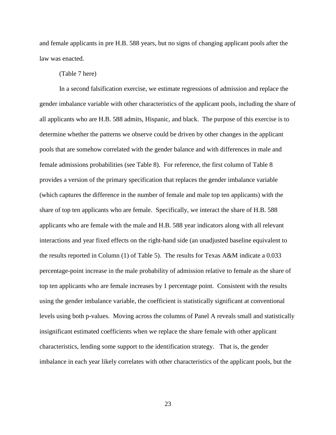and female applicants in pre H.B. 588 years, but no signs of changing applicant pools after the law was enacted.

#### (Table 7 here)

In a second falsification exercise, we estimate regressions of admission and replace the gender imbalance variable with other characteristics of the applicant pools, including the share of all applicants who are H.B. 588 admits, Hispanic, and black. The purpose of this exercise is to determine whether the patterns we observe could be driven by other changes in the applicant pools that are somehow correlated with the gender balance and with differences in male and female admissions probabilities (see Table 8). For reference, the first column of Table 8 provides a version of the primary specification that replaces the gender imbalance variable (which captures the difference in the number of female and male top ten applicants) with the share of top ten applicants who are female. Specifically, we interact the share of H.B. 588 applicants who are female with the male and H.B. 588 year indicators along with all relevant interactions and year fixed effects on the right-hand side (an unadjusted baseline equivalent to the results reported in Column (1) of Table 5). The results for Texas A&M indicate a 0.033 percentage-point increase in the male probability of admission relative to female as the share of top ten applicants who are female increases by 1 percentage point. Consistent with the results using the gender imbalance variable, the coefficient is statistically significant at conventional levels using both p-values. Moving across the columns of Panel A reveals small and statistically insignificant estimated coefficients when we replace the share female with other applicant characteristics, lending some support to the identification strategy. That is, the gender imbalance in each year likely correlates with other characteristics of the applicant pools, but the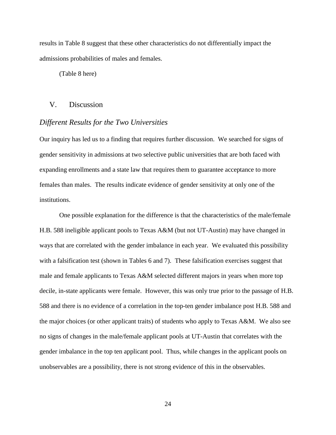results in Table 8 suggest that these other characteristics do not differentially impact the admissions probabilities of males and females.

(Table 8 here)

## V. Discussion

### *Different Results for the Two Universities*

Our inquiry has led us to a finding that requires further discussion. We searched for signs of gender sensitivity in admissions at two selective public universities that are both faced with expanding enrollments and a state law that requires them to guarantee acceptance to more females than males. The results indicate evidence of gender sensitivity at only one of the institutions.

One possible explanation for the difference is that the characteristics of the male/female H.B. 588 ineligible applicant pools to Texas A&M (but not UT-Austin) may have changed in ways that are correlated with the gender imbalance in each year. We evaluated this possibility with a falsification test (shown in Tables 6 and 7). These falsification exercises suggest that male and female applicants to Texas A&M selected different majors in years when more top decile, in-state applicants were female. However, this was only true prior to the passage of H.B. 588 and there is no evidence of a correlation in the top-ten gender imbalance post H.B. 588 and the major choices (or other applicant traits) of students who apply to Texas A&M. We also see no signs of changes in the male/female applicant pools at UT-Austin that correlates with the gender imbalance in the top ten applicant pool. Thus, while changes in the applicant pools on unobservables are a possibility, there is not strong evidence of this in the observables.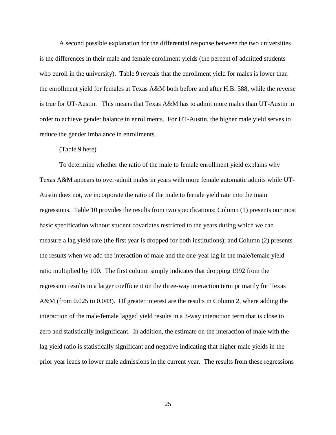A second possible explanation for the differential response between the two universities is the differences in their male and female enrollment yields (the percent of admitted students who enroll in the university). Table 9 reveals that the enrollment yield for males is lower than the enrollment yield for females at Texas A&M both before and after H.B. 588, while the reverse is true for UT-Austin. This means that Texas A&M has to admit more males than UT-Austin in order to achieve gender balance in enrollments. For UT-Austin, the higher male yield serves to reduce the gender imbalance in enrollments.

#### (Table 9 here)

To determine whether the ratio of the male to female enrollment yield explains why Texas A&M appears to over-admit males in years with more female automatic admits while UT-Austin does not, we incorporate the ratio of the male to female yield rate into the main regressions. Table 10 provides the results from two specifications: Column (1) presents our most basic specification without student covariates restricted to the years during which we can measure a lag yield rate (the first year is dropped for both institutions); and Column (2) presents the results when we add the interaction of male and the one-year lag in the male/female yield ratio multiplied by 100. The first column simply indicates that dropping 1992 from the regression results in a larger coefficient on the three-way interaction term primarily for Texas A&M (from 0.025 to 0.043). Of greater interest are the results in Column 2, where adding the interaction of the male/female lagged yield results in a 3-way interaction term that is close to zero and statistically insignificant. In addition, the estimate on the interaction of male with the lag yield ratio is statistically significant and negative indicating that higher male yields in the prior year leads to lower male admissions in the current year. The results from these regressions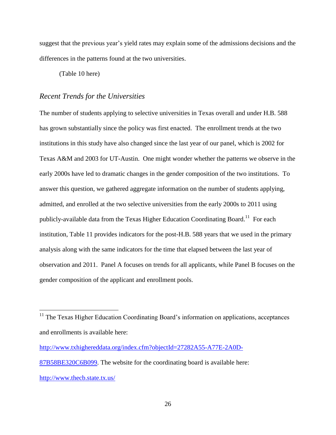suggest that the previous year's yield rates may explain some of the admissions decisions and the differences in the patterns found at the two universities.

(Table 10 here)

## *Recent Trends for the Universities*

The number of students applying to selective universities in Texas overall and under H.B. 588 has grown substantially since the policy was first enacted. The enrollment trends at the two institutions in this study have also changed since the last year of our panel, which is 2002 for Texas A&M and 2003 for UT-Austin. One might wonder whether the patterns we observe in the early 2000s have led to dramatic changes in the gender composition of the two institutions. To answer this question, we gathered aggregate information on the number of students applying, admitted, and enrolled at the two selective universities from the early 2000s to 2011 using publicly-available data from the Texas Higher Education Coordinating Board.<sup>11</sup> For each institution, Table 11 provides indicators for the post-H.B. 588 years that we used in the primary analysis along with the same indicators for the time that elapsed between the last year of observation and 2011. Panel A focuses on trends for all applicants, while Panel B focuses on the gender composition of the applicant and enrollment pools.

[http://www.txhighereddata.org/index.cfm?objectId=27282A55-A77E-2A0D-](http://www.txhighereddata.org/index.cfm?objectId=27282A55-A77E-2A0D-87B58BE320C6B099)[87B58BE320C6B099.](http://www.txhighereddata.org/index.cfm?objectId=27282A55-A77E-2A0D-87B58BE320C6B099) The website for the coordinating board is available here:

 $\overline{a}$ 

 $11$  The Texas Higher Education Coordinating Board's information on applications, acceptances and enrollments is available here:

<http://www.thecb.state.tx.us/>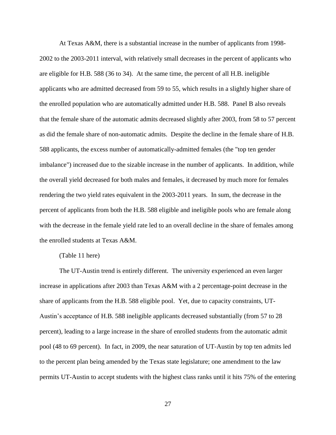At Texas A&M, there is a substantial increase in the number of applicants from 1998- 2002 to the 2003-2011 interval, with relatively small decreases in the percent of applicants who are eligible for H.B. 588 (36 to 34). At the same time, the percent of all H.B. ineligible applicants who are admitted decreased from 59 to 55, which results in a slightly higher share of the enrolled population who are automatically admitted under H.B. 588. Panel B also reveals that the female share of the automatic admits decreased slightly after 2003, from 58 to 57 percent as did the female share of non-automatic admits. Despite the decline in the female share of H.B. 588 applicants, the excess number of automatically-admitted females (the "top ten gender imbalance") increased due to the sizable increase in the number of applicants. In addition, while the overall yield decreased for both males and females, it decreased by much more for females rendering the two yield rates equivalent in the 2003-2011 years. In sum, the decrease in the percent of applicants from both the H.B. 588 eligible and ineligible pools who are female along with the decrease in the female yield rate led to an overall decline in the share of females among the enrolled students at Texas A&M.

#### (Table 11 here)

The UT-Austin trend is entirely different. The university experienced an even larger increase in applications after 2003 than Texas A&M with a 2 percentage-point decrease in the share of applicants from the H.B. 588 eligible pool. Yet, due to capacity constraints, UT-Austin's acceptance of H.B. 588 ineligible applicants decreased substantially (from 57 to 28 percent), leading to a large increase in the share of enrolled students from the automatic admit pool (48 to 69 percent). In fact, in 2009, the near saturation of UT-Austin by top ten admits led to the percent plan being amended by the Texas state legislature; one amendment to the law permits UT-Austin to accept students with the highest class ranks until it hits 75% of the entering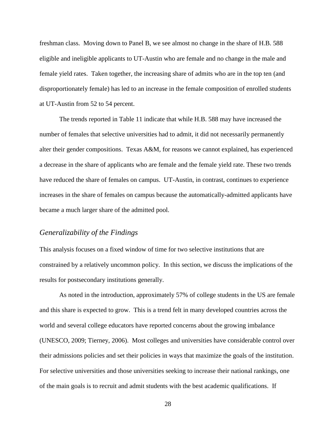freshman class. Moving down to Panel B, we see almost no change in the share of H.B. 588 eligible and ineligible applicants to UT-Austin who are female and no change in the male and female yield rates. Taken together, the increasing share of admits who are in the top ten (and disproportionately female) has led to an increase in the female composition of enrolled students at UT-Austin from 52 to 54 percent.

The trends reported in Table 11 indicate that while H.B. 588 may have increased the number of females that selective universities had to admit, it did not necessarily permanently alter their gender compositions. Texas A&M, for reasons we cannot explained, has experienced a decrease in the share of applicants who are female and the female yield rate. These two trends have reduced the share of females on campus. UT-Austin, in contrast, continues to experience increases in the share of females on campus because the automatically-admitted applicants have became a much larger share of the admitted pool.

## *Generalizability of the Findings*

This analysis focuses on a fixed window of time for two selective institutions that are constrained by a relatively uncommon policy. In this section, we discuss the implications of the results for postsecondary institutions generally.

As noted in the introduction, approximately 57% of college students in the US are female and this share is expected to grow. This is a trend felt in many developed countries across the world and several college educators have reported concerns about the growing imbalance (UNESCO, 2009; Tierney, 2006). Most colleges and universities have considerable control over their admissions policies and set their policies in ways that maximize the goals of the institution. For selective universities and those universities seeking to increase their national rankings, one of the main goals is to recruit and admit students with the best academic qualifications. If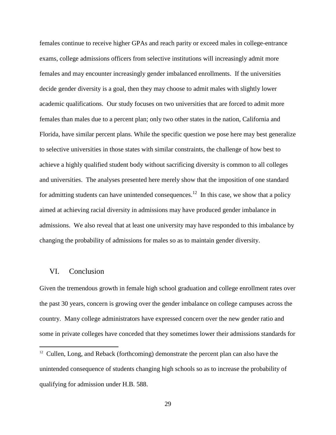females continue to receive higher GPAs and reach parity or exceed males in college-entrance exams, college admissions officers from selective institutions will increasingly admit more females and may encounter increasingly gender imbalanced enrollments. If the universities decide gender diversity is a goal, then they may choose to admit males with slightly lower academic qualifications. Our study focuses on two universities that are forced to admit more females than males due to a percent plan; only two other states in the nation, California and Florida, have similar percent plans. While the specific question we pose here may best generalize to selective universities in those states with similar constraints, the challenge of how best to achieve a highly qualified student body without sacrificing diversity is common to all colleges and universities. The analyses presented here merely show that the imposition of one standard for admitting students can have unintended consequences.<sup>12</sup> In this case, we show that a policy aimed at achieving racial diversity in admissions may have produced gender imbalance in admissions. We also reveal that at least one university may have responded to this imbalance by changing the probability of admissions for males so as to maintain gender diversity.

#### VI. Conclusion

 $\overline{a}$ 

Given the tremendous growth in female high school graduation and college enrollment rates over the past 30 years, concern is growing over the gender imbalance on college campuses across the country. Many college administrators have expressed concern over the new gender ratio and some in private colleges have conceded that they sometimes lower their admissions standards for

 $12$  Cullen, Long, and Reback (forthcoming) demonstrate the percent plan can also have the unintended consequence of students changing high schools so as to increase the probability of qualifying for admission under H.B. 588.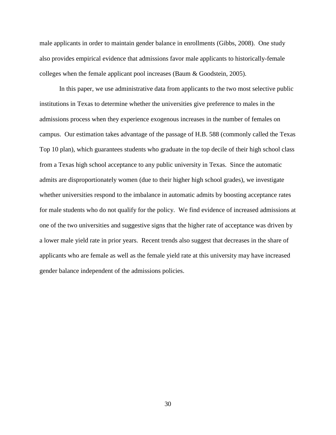male applicants in order to maintain gender balance in enrollments (Gibbs, 2008). One study also provides empirical evidence that admissions favor male applicants to historically-female colleges when the female applicant pool increases (Baum & Goodstein, 2005).

In this paper, we use administrative data from applicants to the two most selective public institutions in Texas to determine whether the universities give preference to males in the admissions process when they experience exogenous increases in the number of females on campus. Our estimation takes advantage of the passage of H.B. 588 (commonly called the Texas Top 10 plan), which guarantees students who graduate in the top decile of their high school class from a Texas high school acceptance to any public university in Texas. Since the automatic admits are disproportionately women (due to their higher high school grades), we investigate whether universities respond to the imbalance in automatic admits by boosting acceptance rates for male students who do not qualify for the policy. We find evidence of increased admissions at one of the two universities and suggestive signs that the higher rate of acceptance was driven by a lower male yield rate in prior years. Recent trends also suggest that decreases in the share of applicants who are female as well as the female yield rate at this university may have increased gender balance independent of the admissions policies.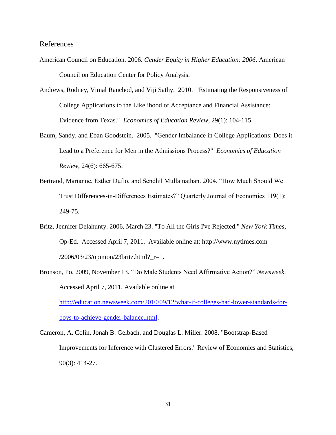#### References

- American Council on Education. 2006. *Gender Equity in Higher Education: 2006*. American Council on Education Center for Policy Analysis.
- Andrews, Rodney, Vimal Ranchod, and Viji Sathy. 2010. "Estimating the Responsiveness of College Applications to the Likelihood of Acceptance and Financial Assistance: Evidence from Texas." *Economics of Education Review*, 29(1): 104-115.
- Baum, Sandy, and Eban Goodstein. 2005. "Gender Imbalance in College Applications: Does it Lead to a Preference for Men in the Admissions Process?" *Economics of Education Review*, 24(6): 665-675.
- Bertrand, Marianne, Esther Duflo, and Sendhil Mullainathan. 2004. "How Much Should We Trust Differences-in-Differences Estimates?" Quarterly Journal of Economics 119(1): 249-75.
- Britz, Jennifer Delahunty. 2006, March 23. "To All the Girls I've Rejected." *New York Times*, Op-Ed. Accessed April 7, 2011. Available online at: http://www.nytimes.com /2006/03/23/opinion/23britz.html?\_r=1.
- Bronson, Po. 2009, November 13. "Do Male Students Need Affirmative Action?" *Newsweek,* Accessed April 7, 2011. Available online at [http://education.newsweek.com/2010/09/12/what-if-colleges-had-lower-standards-for](http://education.newsweek.com/2010/09/12/what-if-colleges-had-lower-standards-for-boys-to-achieve-gender-balance.html)[boys-to-achieve-gender-balance.html.](http://education.newsweek.com/2010/09/12/what-if-colleges-had-lower-standards-for-boys-to-achieve-gender-balance.html)
- Cameron, A. Colin, Jonah B. Gelbach, and Douglas L. Miller. 2008. "Bootstrap-Based Improvements for Inference with Clustered Errors." Review of Economics and Statistics, 90(3): 414-27.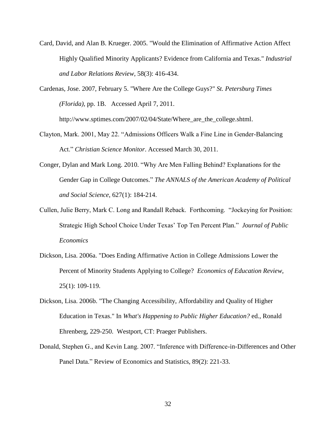Card, David, and Alan B. Krueger. 2005. "Would the Elimination of Affirmative Action Affect Highly Qualified Minority Applicants? Evidence from California and Texas." *Industrial and Labor Relations Review*, 58(3): 416-434.

Cardenas, Jose. 2007, February 5. "Where Are the College Guys?" *St. Petersburg Times (Florida),* pp. 1B. Accessed April 7, 2011.

[http://www.sptimes.com/2007/02/04/State/Where\\_are\\_the\\_college.shtml.](http://www.sptimes.com/2007/02/04/State/Where_are_the_college.shtml)

- Clayton, Mark. 2001, May 22. "Admissions Officers Walk a Fine Line in Gender-Balancing Act." *Christian Science Monitor*. Accessed March 30, 2011.
- Conger, Dylan and Mark Long. 2010. "Why Are Men Falling Behind? Explanations for the Gender Gap in College Outcomes." *The ANNALS of the American Academy of Political and Social Science*, 627(1): 184-214.
- Cullen, Julie Berry, Mark C. Long and Randall Reback. Forthcoming. "Jockeying for Position: Strategic High School Choice Under Texas' Top Ten Percent Plan." *Journal of Public Economics*
- Dickson, Lisa. 2006a. "Does Ending Affirmative Action in College Admissions Lower the Percent of Minority Students Applying to College? *Economics of Education Review,*  25(1): 109-119.
- Dickson, Lisa. 2006b. "The Changing Accessibility, Affordability and Quality of Higher Education in Texas." In *What's Happening to Public Higher Education?* ed., Ronald Ehrenberg, 229-250. Westport, CT: Praeger Publishers.
- Donald, Stephen G., and Kevin Lang. 2007. "Inference with Difference-in-Differences and Other Panel Data." Review of Economics and Statistics, 89(2): 221-33.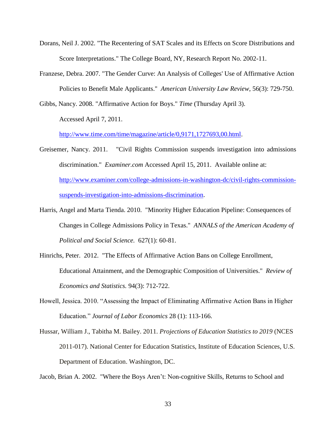- Dorans, Neil J. 2002. "The Recentering of SAT Scales and its Effects on Score Distributions and Score Interpretations." The College Board, NY, Research Report No. 2002-11.
- Franzese, Debra. 2007. "The Gender Curve: An Analysis of Colleges' Use of Affirmative Action Policies to Benefit Male Applicants." *American University Law Review*, 56(3): 729-750.

Gibbs, Nancy. 2008. "Affirmative Action for Boys." *Time* (Thursday April 3).

Accessed April 7, 2011.

[http://www.time.com/time/magazine/article/0,9171,1727693,00.html.](http://www.time.com/time/magazine/article/0,9171,1727693,00.html)

- Greisemer, Nancy. 2011. "Civil Rights Commission suspends investigation into admissions discrimination." *Examiner.com* Accessed April 15, 2011. Available online at: [http://www.examiner.com/college-admissions-in-washington-dc/civil-rights-commission](http://www.examiner.com/college-admissions-in-washington-dc/civil-rights-commission-suspends-investigation-into-admissions-discrimination)[suspends-investigation-into-admissions-discrimination.](http://www.examiner.com/college-admissions-in-washington-dc/civil-rights-commission-suspends-investigation-into-admissions-discrimination)
- Harris, Angel and Marta Tienda. 2010. "Minority Higher Education Pipeline: Consequences of Changes in College Admissions Policy in Texas." *ANNALS of the American Academy of Political and Social Science.* 627(1): 60-81.
- Hinrichs, Peter. 2012. "The Effects of Affirmative Action Bans on College Enrollment, Educational Attainment, and the Demographic Composition of Universities." *Review of Economics and Statistics.* 94(3): 712-722.
- Howell, Jessica. 2010. "Assessing the Impact of Eliminating Affirmative Action Bans in Higher Education." *Journal of Labor Economics* 28 (1): 113-166.
- Hussar, William J., Tabitha M. Bailey. 2011. *Projections of Education Statistics to 2019* (NCES 2011-017). National Center for Education Statistics, Institute of Education Sciences, U.S. Department of Education. Washington, DC.

Jacob, Brian A. 2002. "Where the Boys Aren't: Non-cognitive Skills, Returns to School and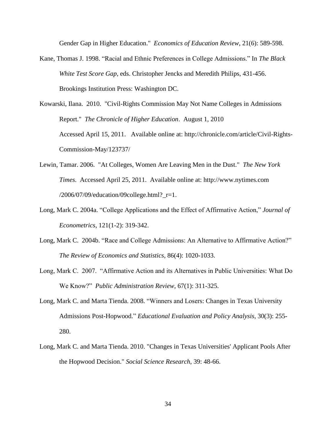Gender Gap in Higher Education." *Economics of Education Review*, 21(6): 589-598.

- Kane, Thomas J. 1998. "Racial and Ethnic Preferences in College Admissions." In *The Black White Test Score Gap*, eds. Christopher Jencks and Meredith Philips, 431-456. Brookings Institution Press: Washington DC.
- Kowarski, Ilana. 2010. "Civil-Rights Commission May Not Name Colleges in Admissions Report." *The Chronicle of Higher Education*. August 1, 2010 Accessed April 15, 2011. Available online at: http://chronicle.com/article/Civil-Rights-Commission-May/123737/
- Lewin, Tamar. 2006. "At Colleges, Women Are Leaving Men in the Dust." *The New York Times*. Accessed April 25, 2011. Available online at: http://www.nytimes.com /2006/07/09/education/09college.html?\_r=1.
- Long, Mark C. 2004a. "College Applications and the Effect of Affirmative Action," *Journal of Econometrics*, 121(1-2): 319-342.
- Long, Mark C. 2004b. "Race and College Admissions: An Alternative to Affirmative Action?" *The Review of Economics and Statistics*, 86(4): 1020-1033.
- Long, Mark C. 2007. "Affirmative Action and its Alternatives in Public Universities: What Do We Know?" *Public Administration Review*, 67(1): 311-325.
- Long, Mark C. and Marta Tienda. 2008. "Winners and Losers: Changes in Texas University Admissions Post-Hopwood." *Educational Evaluation and Policy Analysis*, 30(3): 255- 280.
- Long, Mark C. and Marta Tienda. 2010. "Changes in Texas Universities' Applicant Pools After the Hopwood Decision." *Social Science Research*, 39: 48-66.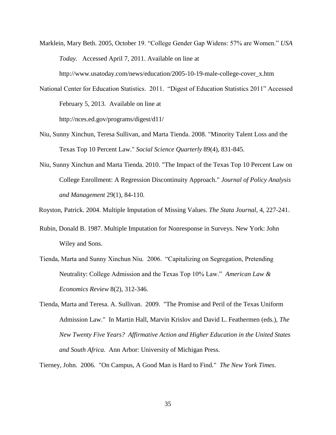Marklein, Mary Beth. 2005, October 19. "College Gender Gap Widens: 57% are Women." *USA Today.* Accessed April 7, 2011. Available on line at http://www.usatoday.com/news/education/2005-10-19-male-college-cover\_x.htm

National Center for Education Statistics. 2011. "Digest of Education Statistics 2011" Accessed February 5, 2013. Available on line at http://nces.ed.gov/programs/digest/d11/

- Niu, Sunny Xinchun, Teresa Sullivan, and Marta Tienda. 2008. "Minority Talent Loss and the Texas Top 10 Percent Law." *Social Science Quarterly* 89(4), 831-845.
- Niu, Sunny Xinchun and Marta Tienda. 2010. "The Impact of the Texas Top 10 Percent Law on College Enrollment: A Regression Discontinuity Approach." *Journal of Policy Analysis and Management* 29(1), 84-110.

Royston, Patrick. 2004. Multiple Imputation of Missing Values. *The Stata Journal*, 4, 227-241.

- Rubin, Donald B. 1987. Multiple Imputation for Nonresponse in Surveys. New York: John Wiley and Sons.
- Tienda, Marta and Sunny Xinchun Niu. 2006. "Capitalizing on Segregation, Pretending Neutrality: College Admission and the Texas Top 10% Law." *American Law & Economics Review* 8(2), 312-346.
- Tienda, Marta and Teresa. A. Sullivan. 2009. "The Promise and Peril of the Texas Uniform Admission Law." In Martin Hall, Marvin Krislov and David L. Feathermen (eds.), *The New Twenty Five Years? Affirmative Action and Higher Education in the United States and South Africa.* Ann Arbor: University of Michigan Press.

Tierney, John. 2006. "On Campus, A Good Man is Hard to Find." *The New York Times*.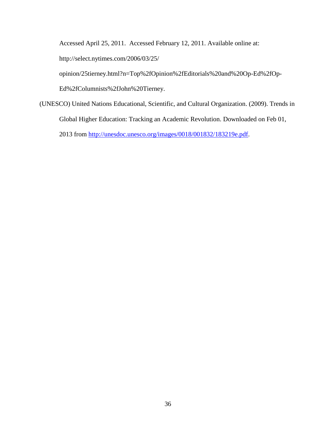Accessed April 25, 2011. Accessed February 12, 2011. Available online at:

http://select.nytimes.com/2006/03/25/

opinion/25tierney.html?n=Top%2fOpinion%2fEditorials%20and%20Op-Ed%2fOp-

Ed%2fColumnists%2fJohn%20Tierney.

(UNESCO) United Nations Educational, Scientific, and Cultural Organization. (2009). Trends in Global Higher Education: Tracking an Academic Revolution. Downloaded on Feb 01, 2013 from [http://unesdoc.unesco.org/images/0018/001832/183219e.pdf.](http://unesdoc.unesco.org/images/0018/001832/183219e.pdf)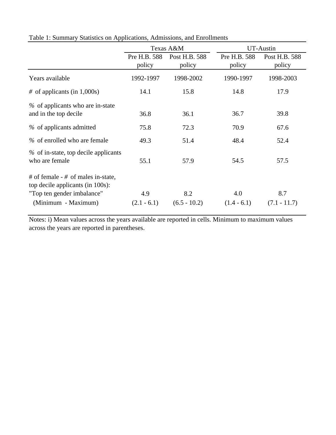|                                                                                                                               |                        | Texas A&M               |                        | UT-Austin               |
|-------------------------------------------------------------------------------------------------------------------------------|------------------------|-------------------------|------------------------|-------------------------|
|                                                                                                                               | Pre H.B. 588<br>policy | Post H.B. 588<br>policy | Pre H.B. 588<br>policy | Post H.B. 588<br>policy |
| Years available                                                                                                               | 1992-1997              | 1998-2002               | 1990-1997              | 1998-2003               |
| $\#$ of applicants (in 1,000s)                                                                                                | 14.1                   | 15.8                    | 14.8                   | 17.9                    |
| % of applicants who are in-state<br>and in the top decile                                                                     | 36.8                   | 36.1                    | 36.7                   | 39.8                    |
| % of applicants admitted                                                                                                      | 75.8                   | 72.3                    | 70.9                   | 67.6                    |
| % of enrolled who are female                                                                                                  | 49.3                   | 51.4                    | 48.4                   | 52.4                    |
| % of in-state, top decile applicants<br>who are female                                                                        | 55.1                   | 57.9                    | 54.5                   | 57.5                    |
| # of female $-$ # of males in-state,<br>top decile applicants (in 100s):<br>"Top ten gender imbalance"<br>(Minimum - Maximum) | 4.9<br>$(2.1 - 6.1)$   | 8.2<br>$(6.5 - 10.2)$   | 4.0<br>$(1.4 - 6.1)$   | 8.7<br>$(7.1 - 11.7)$   |

Table 1: Summary Statistics on Applications, Admissions, and Enrollments

Notes: i) Mean values across the years available are reported in cells. Minimum to maximum values across the years are reported in parentheses.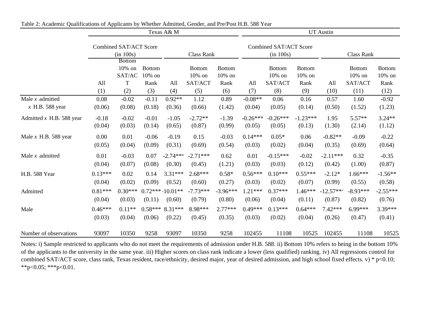|                            | Texas A& M                          |                                           |                                 |                            |                                    |                                 | <b>UT</b> Austin    |                                       |                                 |                       |                                    |                                 |  |
|----------------------------|-------------------------------------|-------------------------------------------|---------------------------------|----------------------------|------------------------------------|---------------------------------|---------------------|---------------------------------------|---------------------------------|-----------------------|------------------------------------|---------------------------------|--|
|                            | Combined SAT/ACT Score<br>(in 100s) |                                           |                                 |                            | Class Rank                         |                                 |                     | Combined SAT/ACT Score<br>(in 100s)   |                                 |                       | <b>Class Rank</b>                  |                                 |  |
|                            | All                                 | <b>Bottom</b><br>$10\%$ on<br>SAT/AC<br>T | <b>Bottom</b><br>10% on<br>Rank | All                        | <b>Bottom</b><br>10% on<br>SAT/ACT | <b>Bottom</b><br>10% on<br>Rank | All                 | <b>Bottom</b><br>$10\%$ on<br>SAT/ACT | <b>Bottom</b><br>10% on<br>Rank | All                   | <b>Bottom</b><br>10% on<br>SAT/ACT | <b>Bottom</b><br>10% on<br>Rank |  |
|                            | (1)                                 | (2)                                       | (3)                             | (4)                        | (5)                                | (6)                             | (7)                 | (8)                                   | (9)                             | (10)                  | (11)                               | (12)                            |  |
| Male $x$ admitted          | 0.08                                | $-0.02$                                   | $-0.11$                         | $0.92**$                   | 1.12                               | 0.89                            | $-0.08**$           | 0.06                                  | 0.16                            | 0.57                  | 1.60                               | $-0.92$                         |  |
| $x$ H.B. 588 year          | (0.06)                              | (0.08)                                    | (0.18)                          | (0.36)                     | (0.66)                             | (1.42)                          | (0.04)              | (0.05)                                | (0.14)                          | (0.50)                | (1.52)                             | (1.23)                          |  |
| Admitted $x$ H.B. 588 year | $-0.18$                             | $-0.02$                                   | $-0.01$                         | $-1.05$                    | $-2.72**$                          | $-1.39$                         | $-0.26***$          | $-0.26***$                            | $-1.23***$                      | 1.95                  | $5.57**$                           | $3.24**$                        |  |
|                            | (0.04)                              | (0.03)                                    | (0.14)                          | (0.65)                     | (0.87)                             | (0.99)                          | (0.05)              | (0.05)                                | (0.13)                          | (1.30)                | (2.14)                             | (1.12)                          |  |
| Male $x$ H.B. 588 year     | 0.00                                | 0.01                                      | $-0.06$                         | $-0.19$                    | 0.15                               | $-0.03$                         | $0.14***$           | $0.05*$                               | 0.06                            | $-0.82**$             | $-0.09$                            | $-0.22$                         |  |
|                            | (0.05)                              | (0.04)                                    | (0.09)                          | (0.31)                     | (0.69)                             | (0.54)                          | (0.03)              | (0.02)                                | (0.04)                          | (0.35)                | (0.69)                             | (0.64)                          |  |
| Male $x$ admitted          | 0.01                                | $-0.03$                                   | 0.07                            | $-2.74***$                 | $-2.71***$                         | 0.62                            | 0.01                | $-0.15***$                            | $-0.02$                         | $-2.11***$            | 0.32                               | $-0.35$                         |  |
|                            | (0.04)                              | (0.07)                                    | (0.08)                          | (0.30)                     | (0.45)                             | (1.21)                          | (0.03)              | (0.03)                                | (0.12)                          | (0.42)                | (1.00)                             | (0.87)                          |  |
| H.B. 588 Year              | $0.13***$                           | 0.02                                      | 0.14                            | $3.31***$                  | $2.68***$                          | $0.58*$                         | $0.56***$           | $0.10***$                             | $0.55***$                       | $-2.12*$              | $1.66***$                          | $-1.56**$                       |  |
|                            | (0.04)                              | (0.02)                                    | (0.09)                          | (0.52)                     | (0.60)                             | (0.27)                          | (0.03)              | (0.02)                                | (0.07)                          | (0.99)                | (0.55)                             | (0.58)                          |  |
| Admitted                   | $0.81***$<br>(0.04)                 | $0.30***$<br>(0.03)                       | (0.11)                          | $0.72***10.01**$<br>(0.60) | $-7.73***$<br>(0.79)               | $-3.96***$<br>(0.80)            | $1.21***$<br>(0.06) | $0.37***$<br>(0.04)                   | $1.46***$<br>(0.11)             | $-12.57***$<br>(0.87) | $-8.93***$<br>(0.82)               | $-2.55***$<br>(0.76)            |  |
| Male                       | $0.46***$                           | $0.11**$                                  | $0.58***$                       | $8.31***$                  | 8.98***                            | $2.77***$                       | $0.49***$           | $0.13***$                             | $0.64***$                       | $7.42***$             | $6.99***$                          | 3.39***                         |  |
|                            | (0.03)                              | (0.04)                                    | (0.06)                          | (0.22)                     | (0.45)                             | (0.35)                          | (0.03)              | (0.02)                                | (0.04)                          | (0.26)                | (0.47)                             | (0.41)                          |  |
| Number of observations     | 93097                               | 10350                                     | 9258                            | 93097                      | 10350                              | 9258                            | 102455              | 11108                                 | 10525                           | 102455                | 11108                              | 10525                           |  |

Notes: i) Sample restricted to applicants who do not meet the requirements of admission under H.B. 588. ii) Bottom 10% refers to being in the bottom 10% of the applicants to the university in the same year. iii) Higher scores on class rank indicate a lower (less qualified) ranking. iv) All regressions control for combined SAT/ACT score, class rank, Texas resident, race/ethnicity, desired major, year of desired admission, and high school fixed effects. v) \* p<0.10; \*\*p<0.05; \*\*\*p<0.01.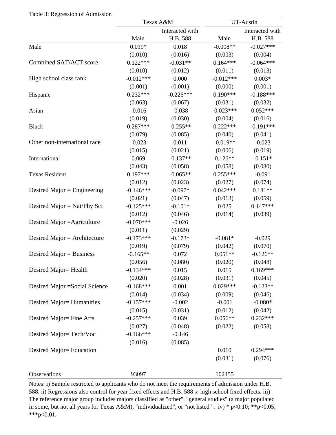|                                |             | Texas A&M       |             | UT-Austin       |
|--------------------------------|-------------|-----------------|-------------|-----------------|
|                                |             | Interacted with |             | Interacted with |
|                                | Main        | H.B. 588        | Main        | H.B. 588        |
| Male                           | $0.019*$    | 0.018           | $-0.008**$  | $-0.027***$     |
|                                | (0.010)     | (0.016)         | (0.003)     | (0.004)         |
| Combined SAT/ACT score         | $0.122***$  | $-0.031**$      | $0.164***$  | $-0.064***$     |
|                                | (0.010)     | (0.012)         | (0.011)     | (0.013)         |
| High school class rank         | $-0.012***$ | 0.000           | $-0.012***$ | $0.003*$        |
|                                | (0.001)     | (0.001)         | (0.000)     | (0.001)         |
| Hispanic                       | $0.232***$  | $-0.226***$     | $0.190***$  | $-0.188***$     |
|                                | (0.063)     | (0.067)         | (0.031)     | (0.032)         |
| Asian                          | $-0.016$    | $-0.038$        | $-0.023***$ | $0.052***$      |
|                                | (0.019)     | (0.030)         | (0.004)     | (0.016)         |
| <b>Black</b>                   | $0.287***$  | $-0.255**$      | $0.222***$  | $-0.191***$     |
|                                | (0.079)     | (0.085)         | (0.040)     | (0.041)         |
| Other non-international race   | $-0.023$    | 0.011           | $-0.019**$  | $-0.023$        |
|                                | (0.015)     | (0.021)         | (0.006)     | (0.019)         |
| International                  | 0.069       | $-0.137**$      | $0.126**$   | $-0.151*$       |
|                                | (0.043)     | (0.058)         | (0.058)     | (0.080)         |
| <b>Texas Resident</b>          | $0.197***$  | $-0.065**$      | $0.255***$  | $-0.091$        |
|                                | (0.012)     | (0.023)         | (0.027)     | (0.074)         |
| Desired Major = Engineering    | $-0.146***$ | $-0.097*$       | $0.042***$  | $0.131**$       |
|                                | (0.021)     | (0.047)         | (0.013)     | (0.059)         |
| Desired Major = $Nat/Phy$ Sci  | $-0.125***$ | $-0.101*$       | 0.025       | $0.147***$      |
|                                | (0.012)     | (0.046)         | (0.014)     | (0.039)         |
| Desired Major = Agriculture    | $-0.070***$ | $-0.026$        |             |                 |
|                                | (0.011)     | (0.029)         |             |                 |
| Desired Major = Architecture   | $-0.173***$ | $-0.173*$       | $-0.081*$   | $-0.029$        |
|                                | (0.019)     | (0.079)         | (0.042)     | (0.070)         |
| Desired Major = Business       | $-0.165**$  | 0.072           | $0.051**$   | $-0.126**$      |
|                                | (0.056)     | (0.080)         | (0.020)     | (0.048)         |
| Desired Major= Health          | $-0.134***$ | 0.015           | 0.015       | $0.169***$      |
|                                | (0.020)     | (0.028)         | (0.031)     | (0.045)         |
| Desired Major = Social Science | $-0.168***$ | 0.001           | $0.029***$  | $-0.123**$      |
|                                | (0.014)     | (0.034)         | (0.009)     | (0.046)         |
| Desired Major= Humanities      | $-0.157***$ | $-0.002$        | $-0.001$    | $-0.080*$       |
|                                | (0.015)     | (0.031)         | (0.012)     | (0.042)         |
| Desired Major= Fine Arts       | $-0.257***$ | 0.039           | $0.056**$   | $0.232***$      |
|                                | (0.027)     | (0.048)         | (0.022)     | (0.058)         |
| Desired Major=Tech/Voc         | $-0.166***$ | $-0.146$        |             |                 |

Table 3: Regression of Admission

Notes: i) Sample restricted to applicants who do not meet the requirements of admission under H.B. 588. ii) Regressions also control for year fixed effects and H.B. 588 *x* high school fixed effects. iii) The reference major group includes majors classified as "other", "general studies" (a major populated in some, but not all years for Texas A&M), "individualized", or "not listed". iv) \*  $p<0.10$ ; \*\* $p<0.05$ ;  $***p<0.01$ .

 $(0.016)$   $(0.085)$ 

(0.031) (0.076)

Desired Major= Education 0.010 0.294\*\*\*

Observations 93097 102455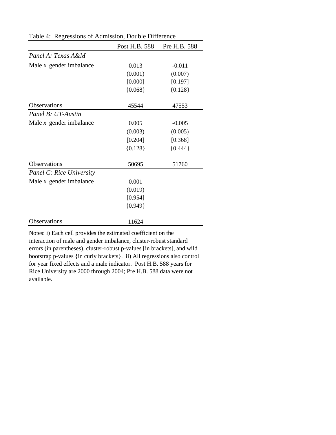|                                 | Post H.B. 588 | Pre H.B. 588 |
|---------------------------------|---------------|--------------|
| Panel A: Texas A&M              |               |              |
| Male $x$ gender imbalance       | 0.013         | $-0.011$     |
|                                 | (0.001)       | (0.007)      |
|                                 | [0.000]       | [0.197]      |
|                                 | ${0.068}$     | ${0.128}$    |
| Observations                    | 45544         | 47553        |
| Panel B: UT-Austin              |               |              |
| Male $x$ gender imbalance       | 0.005         | $-0.005$     |
|                                 | (0.003)       | (0.005)      |
|                                 | [0.204]       | [0.368]      |
|                                 | ${0.128}$     | ${0.444}$    |
| Observations                    | 50695         | 51760        |
| <b>Panel C: Rice University</b> |               |              |
| Male $x$ gender imbalance       | 0.001         |              |
|                                 | (0.019)       |              |
|                                 | [0.954]       |              |
|                                 | ${0.949}$     |              |
| Observations                    | 11624         |              |

Table 4: Regressions of Admission, Double Difference

Notes: i) Each cell provides the estimated coefficient on the interaction of male and gender imbalance, cluster-robust standard errors (in parentheses), cluster-robust p-values [in brackets], and wild bootstrap p-values {in curly brackets}. ii) All regressions also control for year fixed effects and a male indicator. Post H.B. 588 years for Rice University are 2000 through 2004; Pre H.B. 588 data were not available.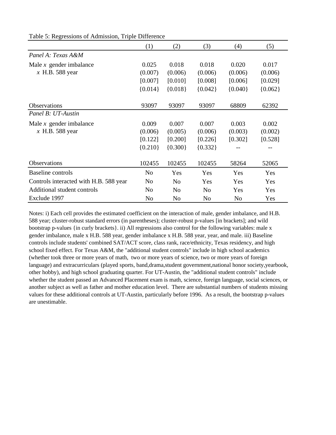|                                        | (1)            | (2)            | (3)            | (4)            | (5)       |
|----------------------------------------|----------------|----------------|----------------|----------------|-----------|
| Panel A: Texas A&M                     |                |                |                |                |           |
| Male $x$ gender imbalance              | 0.025          | 0.018          | 0.018          | 0.020          | 0.017     |
| $x$ H.B. 588 year                      | (0.007)        | (0.006)        | (0.006)        | (0.006)        | (0.006)   |
|                                        | [0.007]        | [0.010]        | [0.008]        | [0.006]        | [0.029]   |
|                                        | ${0.014}$      | ${0.018}$      | ${0.042}$      | ${0.040}$      | ${0.062}$ |
| Observations                           | 93097          | 93097          | 93097          | 68809          | 62392     |
| Panel B: UT-Austin                     |                |                |                |                |           |
| Male $x$ gender imbalance              | 0.009          | 0.007          | 0.007          | 0.003          | 0.002     |
| $x$ H.B. 588 year                      | (0.006)        | (0.005)        | (0.006)        | (0.003)        | (0.002)   |
|                                        | [0.122]        | [0.200]        | [0.226]        | [0.302]        | [0.528]   |
|                                        | ${0.210}$      | ${0.300}$      | ${0.332}$      |                |           |
| Observations                           | 102455         | 102455         | 102455         | 58264          | 52065     |
| Baseline controls                      | N <sub>o</sub> | Yes            | Yes            | Yes            | Yes       |
| Controls interacted with H.B. 588 year | N <sub>o</sub> | N <sub>o</sub> | Yes            | Yes            | Yes       |
| Additional student controls            | N <sub>o</sub> | N <sub>0</sub> | N <sub>o</sub> | Yes            | Yes       |
| Exclude 1997                           | No             | N <sub>o</sub> | N <sub>o</sub> | N <sub>o</sub> | Yes       |

Table 5: Regressions of Admission, Triple Difference

Notes: i) Each cell provides the estimated coefficient on the interaction of male, gender imbalance, and H.B. 588 year; cluster-robust standard errors (in parentheses); cluster-robust p-values [in brackets]; and wild bootstrap p-values {in curly brackets}. ii) All regressions also control for the following variables: male x gender imbalance, male x H.B. 588 year, gender imbalance x H.B. 588 year, year, and male. iii) Baseline controls include students' combined SAT/ACT score, class rank, race/ethnicity, Texas residency, and high school fixed effect. For Texas A&M, the "additional student controls" include in high school academics (whether took three or more years of math, two or more years of science, two or more years of foreign language) and extracurriculars (played sports, band,drama,student government,national honor society,yearbook, other hobby), and high school graduating quarter. For UT-Austin, the "additional student controls" include whether the student passed an Advanced Placement exam is math, science, foreign language, social sciences, or another subject as well as father and mother education level. There are substantial numbers of students missing values for these additional controls at UT-Austin, particularly before 1996. As a result, the bootstrap p-values are unestimable.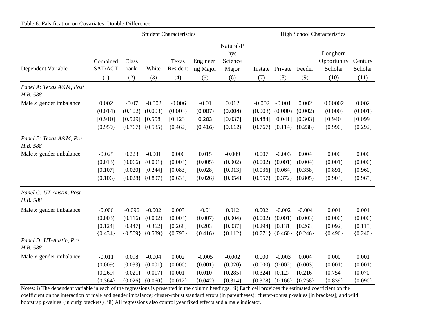|                                      | <b>Student Characteristics</b>              |                                             |                                             |                                             |                                             | <b>High School Characteristics</b>          |                             |                                                                                         |                                             |                                            |                                          |
|--------------------------------------|---------------------------------------------|---------------------------------------------|---------------------------------------------|---------------------------------------------|---------------------------------------------|---------------------------------------------|-----------------------------|-----------------------------------------------------------------------------------------|---------------------------------------------|--------------------------------------------|------------------------------------------|
| Dependent Variable                   | Combined<br>SAT/ACT<br>(1)                  | Class<br>rank<br>(2)                        | White<br>(3)                                | Texas<br>Resident<br>(4)                    | Engineeri<br>ng Major<br>(5)                | Natural/P<br>hys<br>Science<br>Major<br>(6) | Instate<br>(7)              | Private<br>(8)                                                                          | Feeder<br>(9)                               | Longhorn<br>Opportunity<br>Scholar<br>(10) | Century<br>Scholar<br>(11)               |
| Panel A: Texas A&M, Post<br>H.B. 588 |                                             |                                             |                                             |                                             |                                             |                                             |                             |                                                                                         |                                             |                                            |                                          |
| Male $x$ gender imbalance            | 0.002<br>(0.014)<br>[0.910]<br>${0.959}$    | $-0.07$<br>(0.102)<br>[0.529]<br>${0.767}$  | $-0.002$<br>(0.003)<br>[0.558]<br>${0.585}$ | $-0.006$<br>(0.003)<br>[0.123]<br>${0.462}$ | $-0.01$<br>(0.007)<br>[0.203]<br>${0.416}$  | 0.012<br>(0.004)<br>[0.037]<br>${0.112}$    | $-0.002$                    | $-0.001$<br>$(0.003)$ $(0.000)$<br>$[0.484]$ $[0.041]$<br>${0.767}$ ${0.114}$ ${0.238}$ | 0.002<br>(0.002)<br>[0.303]                 | 0.00002<br>(0.000)<br>[0.940]<br>${0.990}$ | 0.002<br>(0.001)<br>[0.099]<br>${0.292}$ |
| Panel B: Texas A&M, Pre<br>H.B. 588  |                                             |                                             |                                             |                                             |                                             |                                             |                             |                                                                                         |                                             |                                            |                                          |
| Male $x$ gender imbalance            | $-0.025$<br>(0.013)<br>[0.107]<br>${0.106}$ | 0.223<br>(0.066)<br>[0.020]<br>${0.028}$    | $-0.001$<br>(0.001)<br>[0.244]<br>${0.807}$ | 0.006<br>(0.003)<br>[0.083]<br>${0.633}$    | 0.015<br>(0.005)<br>[0.028]<br>${0.026}$    | $-0.009$<br>(0.002)<br>[0.013]<br>${0.054}$ | 0.007<br>(0.002)<br>[0.036] | $-0.003$<br>(0.001)<br>[0.064]<br>${0.557}$ ${0.372}$                                   | 0.004<br>(0.004)<br>[0.358]<br>${0.805}$    | 0.000<br>(0.001)<br>[0.891]<br>${0.903}$   | 0.000<br>(0.000)<br>[0.960]<br>${0.965}$ |
| Panel C: UT-Austin, Post<br>H.B. 588 |                                             |                                             |                                             |                                             |                                             |                                             |                             |                                                                                         |                                             |                                            |                                          |
| Male $x$ gender imbalance            | $-0.006$<br>(0.003)<br>[0.124]<br>${0.434}$ | $-0.096$<br>(0.116)<br>[0.447]<br>${0.509}$ | $-0.002$<br>(0.002)<br>[0.362]<br>${0.589}$ | 0.003<br>(0.003)<br>[0.268]<br>${0.793}$    | $-0.01$<br>(0.007)<br>[0.203]<br>${0.416}$  | 0.012<br>(0.004)<br>[0.037]<br>${0.112}$    | 0.002<br>(0.002)<br>[0.294] | $-0.002$<br>(0.001)<br>[0.131]<br>$\{0.771\}$ $\{0.460\}$                               | $-0.004$<br>(0.003)<br>[0.263]<br>${0.246}$ | 0.001<br>(0.000)<br>[0.092]<br>${0.496}$   | 0.001<br>(0.000)<br>[0.115]<br>${0.240}$ |
| Panel D: UT-Austin, Pre<br>H.B. 588  |                                             |                                             |                                             |                                             |                                             |                                             |                             |                                                                                         |                                             |                                            |                                          |
| Male $x$ gender imbalance            | $-0.011$<br>(0.009)<br>[0.269]<br>${0.364}$ | 0.098<br>(0.033)<br>[0.021]<br>${0.026}$    | $-0.004$<br>(0.001)<br>[0.017]<br>${0.060}$ | 0.002<br>(0.000)<br>[0.001]<br>${0.012}$    | $-0.005$<br>(0.001)<br>[0.010]<br>${0.042}$ | $-0.002$<br>(0.020)<br>[0.285]<br>${0.314}$ | 0.000<br>(0.000)<br>[0.324] | $-0.003$<br>(0.002)<br>[0.127]<br>${0.378}$ {0.166}                                     | 0.004<br>(0.003)<br>[0.216]<br>${0.258}$    | 0.000<br>(0.001)<br>[0.754]<br>${0.839}$   | 0.001<br>(0.001)<br>[0.070]<br>${0.090}$ |

Table 6: Falsification on Covariates, Double Difference

Notes: i) The dependent variable in each of the regressions is presented in the column headings. ii) Each cell provides the estimated coefficient on the coefficient on the interaction of male and gender imbalance; cluster-robust standard errors (in parentheses); cluster-robust p-values [in brackets]; and wild bootstrap p-values {in curly brackets}. iii) All regressions also control year fixed effects and a male indicator.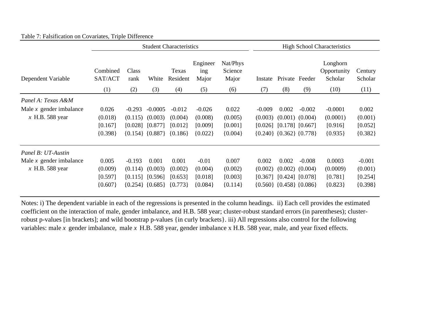|                                                                      | <b>Student Characteristics</b>           |                                |                                                            |                                               |                                             | <b>High School Characteristics</b>       |                                |                                              |                                                        |                                               |                                             |
|----------------------------------------------------------------------|------------------------------------------|--------------------------------|------------------------------------------------------------|-----------------------------------------------|---------------------------------------------|------------------------------------------|--------------------------------|----------------------------------------------|--------------------------------------------------------|-----------------------------------------------|---------------------------------------------|
| Dependent Variable                                                   | Combined<br>SAT/ACT<br>(1)               | Class<br>rank<br>(2)           | White<br>(3)                                               | Texas<br>Resident<br>(4)                      | Engineer<br>ing<br>Major<br>(5)             | Nat/Phys<br>Science<br>Major<br>(6)      | Instate<br>(7)                 | (8)                                          | Private Feeder<br>(9)                                  | Longhorn<br>Opportunity<br>Scholar<br>(10)    | Century<br>Scholar<br>(11)                  |
|                                                                      |                                          |                                |                                                            |                                               |                                             |                                          |                                |                                              |                                                        |                                               |                                             |
| Panel A: Texas A&M<br>Male $x$ gender imbalance<br>$x$ H.B. 588 year | 0.026<br>(0.018)<br>[0.167]<br>${0.398}$ | $-0.293$<br>(0.115)<br>[0.028] | $-0.0005$<br>(0.003)<br>[0.877]<br>$\{0.154\}$ $\{0.887\}$ | $-0.012$<br>(0.004)<br>[0.012]<br>$\{0.186\}$ | $-0.026$<br>(0.008)<br>[0.009]<br>${0.022}$ | 0.022<br>(0.005)<br>[0.001]<br>${0.004}$ | $-0.009$<br>(0.003)<br>[0.026] | 0.002<br>${0.240}$ ${0.362}$ ${0.778}$       | $-0.002$<br>$(0.001)$ $(0.004)$<br>$[0.178]$ $[0.667]$ | $-0.0001$<br>(0.0001)<br>[0.916]<br>${0.935}$ | 0.002<br>(0.001)<br>[0.052]<br>${0.382}$    |
| Panel B: UT-Austin                                                   |                                          |                                |                                                            |                                               |                                             |                                          |                                |                                              |                                                        |                                               |                                             |
| Male $x$ gender imbalance<br>$x$ H.B. 588 year                       | 0.005<br>(0.009)<br>[0.597]<br>${0.607}$ | $-0.193$<br>(0.114)<br>[0.115] | 0.001<br>(0.003)<br>[0.596]<br>${0.254}$ {0.685}           | 0.001<br>(0.002)<br>[0.653]<br>${0.773}$      | $-0.01$<br>(0.004)<br>[0.018]<br>${0.084}$  | 0.007<br>(0.002)<br>[0.003]<br>${0.114}$ | 0.002<br>(0.002)<br>[0.367]    | 0.002<br>$\{0.560\}$ $\{0.458\}$ $\{0.086\}$ | $-0.008$<br>$(0.002)$ $(0.004)$<br>$[0.424]$ $[0.078]$ | 0.0003<br>(0.0009)<br>[0.781]<br>${0.823}$    | $-0.001$<br>(0.001)<br>[0.254]<br>${0.398}$ |

## Table 7: Falsification on Covariates, Triple Difference

Notes: i) The dependent variable in each of the regressions is presented in the column headings. ii) Each cell provides the estimated coefficient on the interaction of male, gender imbalance, and H.B. 588 year; cluster-robust standard errors (in parentheses); clusterrobust p-values [in brackets]; and wild bootstrap p-values {in curly brackets}. iii) All regressions also control for the following variables: male *x* gender imbalance*,* male *x* H.B. 588 year, gender imbalance x H.B. 588 year, male, and year fixed effects.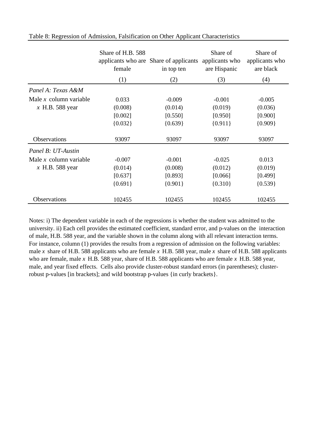|                          | Share of H.B. 588<br>female | applicants who are Share of applicants<br>in top ten | Share of<br>applicants who<br>are Hispanic | Share of<br>applicants who<br>are black |
|--------------------------|-----------------------------|------------------------------------------------------|--------------------------------------------|-----------------------------------------|
|                          | (1)                         | (2)                                                  | (3)                                        | (4)                                     |
| Panel A: Texas A&M       |                             |                                                      |                                            |                                         |
| Male $x$ column variable | 0.033                       | $-0.009$                                             | $-0.001$                                   | $-0.005$                                |
| $x$ H.B. 588 year        | (0.008)                     | (0.014)                                              | (0.019)                                    | (0.036)                                 |
|                          | [0.002]                     | [0.550]                                              | [0.950]                                    | [0.900]                                 |
|                          | ${0.032}$                   | ${0.639}$                                            | ${0.911}$                                  | ${0.909}$                               |
| Observations             | 93097                       | 93097                                                | 93097                                      | 93097                                   |
| Panel B: UT-Austin       |                             |                                                      |                                            |                                         |
| Male $x$ column variable | $-0.007$                    | $-0.001$                                             | $-0.025$                                   | 0.013                                   |
| $x$ H.B. 588 year        | (0.014)                     | (0.008)                                              | (0.012)                                    | (0.019)                                 |
|                          | [0.637]                     | [0.893]                                              | [0.066]                                    | [0.499]                                 |
|                          | ${0.691}$                   | ${0.901}$                                            | ${0.310}$                                  | ${0.539}$                               |
| Observations             | 102455                      | 102455                                               | 102455                                     | 102455                                  |

#### Table 8: Regression of Admission, Falsification on Other Applicant Characteristics

Notes: i) The dependent variable in each of the regressions is whether the student was admitted to the university. ii) Each cell provides the estimated coefficient, standard error, and p-values on the interaction of male, H.B. 588 year, and the variable shown in the column along with all relevant interaction terms. For instance, column (1) provides the results from a regression of admission on the following variables: male *x* share of H.B. 588 applicants who are female *x* H.B. 588 year, male *x* share of H.B. 588 applicants who are female, male *x* H.B. 588 year, share of H.B. 588 applicants who are female *x* H.B. 588 year, male, and year fixed effects. Cells also provide cluster-robust standard errors (in parentheses); clusterrobust p-values [in brackets]; and wild bootstrap p-values {in curly brackets}.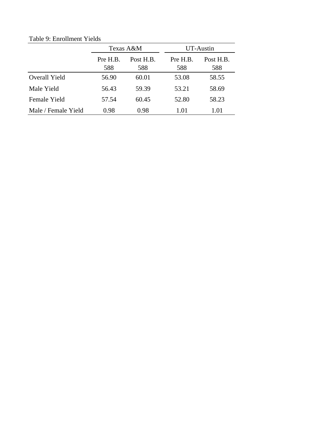|                     |                 | Texas A&M        | UT-Austin       |                  |  |  |  |  |
|---------------------|-----------------|------------------|-----------------|------------------|--|--|--|--|
|                     | Pre H.B.<br>588 | Post H.B.<br>588 | Pre H.B.<br>588 | Post H.B.<br>588 |  |  |  |  |
| Overall Yield       | 56.90           | 60.01            | 53.08           | 58.55            |  |  |  |  |
| Male Yield          | 56.43           | 59.39            | 53.21           | 58.69            |  |  |  |  |
| Female Yield        | 57.54           | 60.45            | 52.80           | 58.23            |  |  |  |  |
| Male / Female Yield | 0.98            | 0.98             | 1.01            | 1.01             |  |  |  |  |

Table 9: Enrollment Yields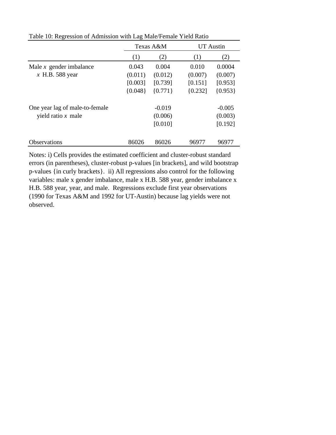|                                |           | Texas A&M | <b>UT</b> Austin |           |  |
|--------------------------------|-----------|-----------|------------------|-----------|--|
|                                | (1)       | (2)       | (1)              | (2)       |  |
| Male $x$ gender imbalance      | 0.043     | 0.004     | 0.010            | 0.0004    |  |
| $x$ H.B. 588 year              | (0.011)   | (0.012)   | (0.007)          | (0.007)   |  |
|                                | [0.003]   | [0.739]   | [0.151]          | [0.953]   |  |
|                                | ${0.048}$ | ${0.771}$ | ${0.232}$        | ${0.953}$ |  |
| One year lag of male-to-female |           | $-0.019$  |                  | $-0.005$  |  |
| yield ratio $x$ male           |           | (0.006)   |                  | (0.003)   |  |
|                                |           | [0.010]   |                  | [0.192]   |  |
| <b>Observations</b>            | 86026     | 86026     | 96977            | 96977     |  |

Table 10: Regression of Admission with Lag Male/Female Yield Ratio

Notes: i) Cells provides the estimated coefficient and cluster-robust standard errors (in parentheses), cluster-robust p-values [in brackets], and wild bootstrap p-values {in curly brackets}. ii) All regressions also control for the following variables: male x gender imbalance, male x H.B. 588 year, gender imbalance x H.B. 588 year, year, and male. Regressions exclude first year observations (1990 for Texas A&M and 1992 for UT-Austin) because lag yields were not observed.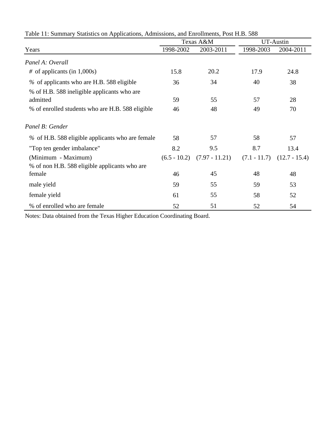|                                                  |                | Texas A&M        |                | UT-Austin       |  |  |
|--------------------------------------------------|----------------|------------------|----------------|-----------------|--|--|
| Years                                            | 1998-2002      | 2003-2011        | 1998-2003      | 2004-2011       |  |  |
| Panel A: Overall                                 |                |                  |                |                 |  |  |
| $\#$ of applicants (in 1,000s)                   | 15.8           | 20.2             | 17.9           | 24.8            |  |  |
| % of applicants who are H.B. 588 eligible        | 36             | 34               | 40             | 38              |  |  |
| % of H.B. 588 ineligible applicants who are      |                |                  |                |                 |  |  |
| admitted                                         | 59             | 55               | 57             | 28              |  |  |
| % of enrolled students who are H.B. 588 eligible | 46             | 48               | 49             | 70              |  |  |
| Panel B: Gender                                  |                |                  |                |                 |  |  |
| % of H.B. 588 eligible applicants who are female | 58             | 57               | 58             | 57              |  |  |
| "Top ten gender imbalance"                       | 8.2            | 9.5              | 8.7            | 13.4            |  |  |
| (Minimum - Maximum)                              | $(6.5 - 10.2)$ | $(7.97 - 11.21)$ | $(7.1 - 11.7)$ | $(12.7 - 15.4)$ |  |  |
| % of non H.B. 588 eligible applicants who are    |                |                  |                |                 |  |  |
| female                                           | 46             | 45               | 48             | 48              |  |  |
| male yield                                       | 59             | 55               | 59             | 53              |  |  |
| female yield                                     | 61             | 55               | 58             | 52              |  |  |
| % of enrolled who are female                     | 52             | 51               | 52             | 54              |  |  |

Table 11: Summary Statistics on Applications, Admissions, and Enrollments, Post H.B. 588

Notes: Data obtained from the Texas Higher Education Coordinating Board.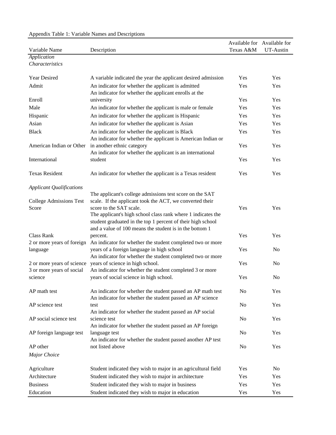| $\mu$ reponding Tubic 1. Turnible Funnes and Descriptions<br>Variable Name | Description                                                            | Texas A&M      | Available for Available for<br>UT-Austin |
|----------------------------------------------------------------------------|------------------------------------------------------------------------|----------------|------------------------------------------|
| Application                                                                |                                                                        |                |                                          |
| Characteristics                                                            |                                                                        |                |                                          |
| Year Desired                                                               | A variable indicated the year the applicant desired admission          | Yes            | Yes                                      |
| Admit                                                                      | An indicator for whether the applicant is admitted                     | Yes            | Yes                                      |
|                                                                            | An indicator for whether the applicant enrolls at the                  |                |                                          |
| Enroll                                                                     | university                                                             | Yes            | Yes                                      |
| Male                                                                       | An indicator for whether the applicant is male or female               | Yes            | Yes                                      |
| Hispanic                                                                   | An indicator for whether the applicant is Hispanic                     | Yes            | Yes                                      |
| Asian                                                                      | An indicator for whether the applicant is Asian                        | Yes            | Yes                                      |
| <b>Black</b>                                                               | An indicator for whether the applicant is Black                        | Yes            | Yes                                      |
|                                                                            | An indicator for whether the applicant is American Indian or           |                |                                          |
| American Indian or Other                                                   | in another ethnic category                                             | Yes            | Yes                                      |
|                                                                            | An indicator for whether the applicant is an international             |                |                                          |
| International                                                              | student                                                                | Yes            | Yes                                      |
| <b>Texas Resident</b>                                                      | An indicator for whether the applicant is a Texas resident             | Yes            | Yes                                      |
| <b>Applicant Qualifications</b>                                            |                                                                        |                |                                          |
|                                                                            | The applicant's college admissions test score on the SAT               |                |                                          |
| <b>College Admissions Test</b>                                             | scale. If the applicant took the ACT, we converted their               |                |                                          |
| Score                                                                      | score to the SAT scale.                                                | Yes            | Yes                                      |
|                                                                            | The applicant's high school class rank where 1 indicates the           |                |                                          |
|                                                                            | student graduated in the top 1 percent of their high school            |                |                                          |
|                                                                            | and a value of 100 means the student is in the bottom 1                |                |                                          |
| <b>Class Rank</b><br>2 or more years of foreign                            | percent.<br>An indicator for whether the student completed two or more | Yes            | Yes                                      |
| language                                                                   | years of a foreign language in high school                             | Yes            | N <sub>o</sub>                           |
|                                                                            | An indicator for whether the student completed two or more             |                |                                          |
| 2 or more years of science                                                 | years of science in high school.                                       | Yes            | N <sub>o</sub>                           |
| 3 or more years of social                                                  | An indicator for whether the student completed 3 or more               |                |                                          |
| science                                                                    | years of social science in high school.                                | Yes            | N <sub>o</sub>                           |
| AP math test                                                               | An indicator for whether the student passed an AP math test            | N <sub>o</sub> | Yes                                      |
|                                                                            | An indicator for whether the student passed an AP science              |                |                                          |
| AP science test                                                            | test                                                                   | No             | Yes                                      |
|                                                                            | An indicator for whether the student passed an AP social               |                |                                          |
| AP social science test                                                     | science test                                                           | No             | Yes                                      |
|                                                                            | An indicator for whether the student passed an AP foreign              |                |                                          |
| AP foreign language test                                                   | language test                                                          | N <sub>0</sub> | Yes                                      |
|                                                                            | An indicator for whether the student passed another AP test            |                |                                          |
| AP other                                                                   | not listed above                                                       | No             | Yes                                      |
| Major Choice                                                               |                                                                        |                |                                          |
| Agriculture                                                                | Student indicated they wish to major in an agricultural field          | Yes            | N <sub>0</sub>                           |
| Architecture                                                               | Student indicated they wish to major in architecture                   | Yes            | Yes                                      |
| <b>Business</b>                                                            | Student indicated they wish to major in business                       | Yes            | Yes                                      |
| Education                                                                  | Student indicated they wish to major in education                      | Yes            | Yes                                      |

# Appendix Table 1: Variable Names and Descriptions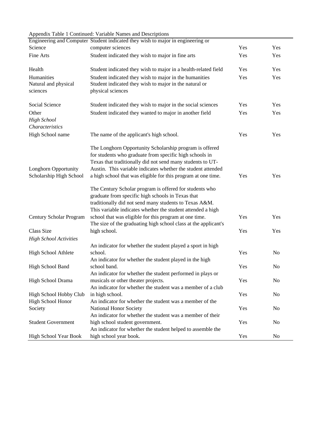#### Appendix Table 1 Continued: Variable Names and Descriptions

|                                                        | Engineering and Computer Student indicated they wish to major in engineering or                                                                                                                                                                                                                                                                                                                                                                                                                                                                            |     |                |
|--------------------------------------------------------|------------------------------------------------------------------------------------------------------------------------------------------------------------------------------------------------------------------------------------------------------------------------------------------------------------------------------------------------------------------------------------------------------------------------------------------------------------------------------------------------------------------------------------------------------------|-----|----------------|
| Science                                                | computer sciences                                                                                                                                                                                                                                                                                                                                                                                                                                                                                                                                          | Yes | Yes            |
| Fine Arts                                              | Student indicated they wish to major in fine arts                                                                                                                                                                                                                                                                                                                                                                                                                                                                                                          | Yes | Yes            |
| Health                                                 | Student indicated they wish to major in a health-related field                                                                                                                                                                                                                                                                                                                                                                                                                                                                                             | Yes | Yes            |
| Humanities<br>Natural and physical<br>sciences         | Student indicated they wish to major in the humanities<br>Student indicated they wish to major in the natural or<br>physical sciences                                                                                                                                                                                                                                                                                                                                                                                                                      | Yes | Yes            |
| Social Science                                         | Student indicated they wish to major in the social sciences                                                                                                                                                                                                                                                                                                                                                                                                                                                                                                | Yes | Yes            |
| Other<br><b>High School</b><br>Characteristics         | Student indicated they wanted to major in another field                                                                                                                                                                                                                                                                                                                                                                                                                                                                                                    | Yes | Yes            |
| High School name                                       | The name of the applicant's high school.                                                                                                                                                                                                                                                                                                                                                                                                                                                                                                                   | Yes | Yes            |
| <b>Longhorn Opportunity</b><br>Scholarship High School | The Longhorn Opportunity Scholarship program is offered<br>for students who graduate from specific high schools in<br>Texas that traditionally did not send many students to UT-<br>Austin. This variable indicates whether the student attended<br>a high school that was eligible for this program at one time.<br>The Century Scholar program is offered for students who<br>graduate from specific high schools in Texas that<br>traditionally did not send many students to Texas A&M.<br>This variable indicates whether the student attended a high | Yes | Yes            |
| Century Scholar Program                                | school that was eligible for this program at one time.<br>The size of the graduating high school class at the applicant's                                                                                                                                                                                                                                                                                                                                                                                                                                  | Yes | Yes            |
| Class Size                                             | high school.                                                                                                                                                                                                                                                                                                                                                                                                                                                                                                                                               | Yes | Yes            |
| <b>High School Activities</b>                          |                                                                                                                                                                                                                                                                                                                                                                                                                                                                                                                                                            |     |                |
| High School Athlete                                    | An indicator for whether the student played a sport in high<br>school.<br>An indicator for whether the student played in the high                                                                                                                                                                                                                                                                                                                                                                                                                          | Yes | No             |
| High School Band                                       | school band.<br>An indicator for whether the student performed in plays or                                                                                                                                                                                                                                                                                                                                                                                                                                                                                 | Yes | No             |
| High School Drama                                      | musicals or other theater projects.<br>An indicator for whether the student was a member of a club                                                                                                                                                                                                                                                                                                                                                                                                                                                         | Yes | No             |
| High School Hobby Club<br>High School Honor            | in high school.<br>An indicator for whether the student was a member of the                                                                                                                                                                                                                                                                                                                                                                                                                                                                                | Yes | N <sub>0</sub> |
| Society                                                | National Honor Society<br>An indicator for whether the student was a member of their                                                                                                                                                                                                                                                                                                                                                                                                                                                                       | Yes | No             |
| <b>Student Government</b>                              | high school student government.<br>An indicator for whether the student helped to assemble the                                                                                                                                                                                                                                                                                                                                                                                                                                                             | Yes | No             |
| High School Year Book                                  | high school year book.                                                                                                                                                                                                                                                                                                                                                                                                                                                                                                                                     | Yes | No             |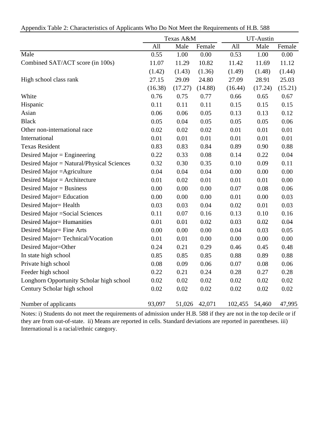|  | Appendix Table 2: Characteristics of Applicants Who Do Not Meet the Requirements of H.B. 588 |  |  |  |
|--|----------------------------------------------------------------------------------------------|--|--|--|
|  |                                                                                              |  |  |  |

|                                           | UT-Austin<br>Texas A&M |         |         |         |         |         |
|-------------------------------------------|------------------------|---------|---------|---------|---------|---------|
|                                           | All                    | Male    | Female  | All     | Male    | Female  |
| Male                                      | 0.55                   | 1.00    | 0.00    | 0.53    | 1.00    | 0.00    |
| Combined SAT/ACT score (in 100s)          | 11.07                  | 11.29   | 10.82   | 11.42   | 11.69   | 11.12   |
|                                           | (1.42)                 | (1.43)  | (1.36)  | (1.49)  | (1.48)  | (1.44)  |
| High school class rank                    | 27.15                  | 29.09   | 24.80   | 27.09   | 28.91   | 25.03   |
|                                           | (16.38)                | (17.27) | (14.88) | (16.44) | (17.24) | (15.21) |
| White                                     | 0.76                   | 0.75    | 0.77    | 0.66    | 0.65    | 0.67    |
| Hispanic                                  | 0.11                   | 0.11    | 0.11    | 0.15    | 0.15    | 0.15    |
| Asian                                     | 0.06                   | 0.06    | 0.05    | 0.13    | 0.13    | 0.12    |
| <b>Black</b>                              | 0.05                   | 0.04    | 0.05    | 0.05    | 0.05    | 0.06    |
| Other non-international race              | 0.02                   | 0.02    | 0.02    | 0.01    | 0.01    | 0.01    |
| International                             | 0.01                   | 0.01    | 0.01    | 0.01    | 0.01    | 0.01    |
| <b>Texas Resident</b>                     | 0.83                   | 0.83    | 0.84    | 0.89    | 0.90    | 0.88    |
| Desired Major = Engineering               | 0.22                   | 0.33    | 0.08    | 0.14    | 0.22    | 0.04    |
| Desired Major = Natural/Physical Sciences | 0.32                   | 0.30    | 0.35    | 0.10    | 0.09    | 0.11    |
| Desired Major = Agriculture               | 0.04                   | 0.04    | 0.04    | 0.00    | 0.00    | 0.00    |
| Desired Major = Architecture              | 0.01                   | 0.02    | 0.01    | 0.01    | 0.01    | 0.00    |
| Desired Major = Business                  | 0.00                   | 0.00    | 0.00    | 0.07    | 0.08    | 0.06    |
| Desired Major= Education                  | 0.00                   | 0.00    | 0.00    | 0.01    | 0.00    | 0.03    |
| Desired Major= Health                     | 0.03                   | 0.03    | 0.04    | 0.02    | 0.01    | 0.03    |
| Desired Major = Social Sciences           | 0.11                   | 0.07    | 0.16    | 0.13    | 0.10    | 0.16    |
| Desired Major= Humanities                 | 0.01                   | 0.01    | 0.02    | 0.03    | 0.02    | 0.04    |
| Desired Major= Fine Arts                  | 0.00                   | 0.00    | 0.00    | 0.04    | 0.03    | 0.05    |
| Desired Major=Technical/Vocation          | 0.01                   | 0.01    | 0.00    | 0.00    | 0.00    | 0.00    |
| Desired Major=Other                       | 0.24                   | 0.21    | 0.29    | 0.46    | 0.45    | 0.48    |
| In state high school                      | 0.85                   | 0.85    | 0.85    | 0.88    | 0.89    | 0.88    |
| Private high school                       | 0.08                   | 0.09    | 0.06    | 0.07    | 0.08    | 0.06    |
| Feeder high school                        | 0.22                   | 0.21    | 0.24    | 0.28    | 0.27    | 0.28    |
| Longhorn Opportunity Scholar high school  | 0.02                   | 0.02    | 0.02    | 0.02    | 0.02    | 0.02    |
| Century Scholar high school               | 0.02                   | 0.02    | 0.02    | 0.02    | 0.02    | 0.02    |
| Number of applicants                      | 93,097                 | 51,026  | 42,071  | 102,455 | 54,460  | 47,995  |

Notes: i) Students do not meet the requirements of admission under H.B. 588 if they are not in the top decile or if they are from out-of-state. ii) Means are reported in cells. Standard deviations are reported in parentheses. iii) International is a racial/ethnic category.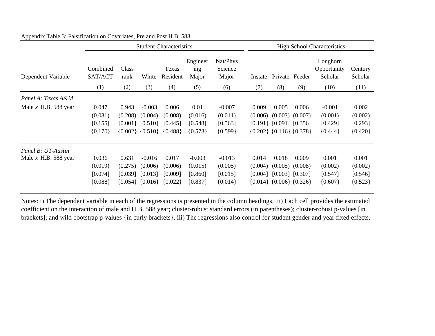|                        | <b>Student Characteristics</b> |               |                         |                   |                          | <b>High School Characteristics</b> |         |                               |                     |                                    |                    |
|------------------------|--------------------------------|---------------|-------------------------|-------------------|--------------------------|------------------------------------|---------|-------------------------------|---------------------|------------------------------------|--------------------|
| Dependent Variable     | Combined<br>SAT/ACT            | Class<br>rank | White                   | Texas<br>Resident | Engineer<br>ing<br>Major | Nat/Phys<br>Science<br>Major       | Instate | Private Feeder                |                     | Longhorn<br>Opportunity<br>Scholar | Century<br>Scholar |
|                        | (1)                            | (2)           | (3)                     | (4)               | (5)                      | (6)                                | (7)     | (8)                           | (9)                 | (10)                               | (11)               |
| Panel A: Texas A&M     |                                |               |                         |                   |                          |                                    |         |                               |                     |                                    |                    |
| Male $x$ H.B. 588 year | 0.047                          | 0.943         | $-0.003$                | 0.006             | 0.01                     | $-0.007$                           | 0.009   | 0.005                         | 0.006               | $-0.001$                           | 0.002              |
|                        | (0.031)                        | (0.208)       | (0.004)                 | (0.008)           | (0.016)                  | (0.011)                            | (0.006) |                               | $(0.003)$ $(0.007)$ | (0.001)                            | (0.002)            |
|                        | [0.155]                        | [0.001]       | [0.510]                 | [0.445]           | [0.548]                  | [0.563]                            |         | $[0.191]$ $[0.091]$ $[0.356]$ |                     | [0.429]                            | [0.293]            |
|                        | ${0.170}$                      |               | ${0.002}$ {0.510}       | ${0.488}$         | ${0.573}$                | ${0.599}$                          |         | ${0.202}$ {0.116} {0.378}     |                     | ${0.444}$                          | ${0.420}$          |
| Panel B: UT-Austin     |                                |               |                         |                   |                          |                                    |         |                               |                     |                                    |                    |
| Male $x$ H.B. 588 year | 0.036                          | 0.631         | $-0.016$                | 0.017             | $-0.003$                 | $-0.013$                           | 0.014   | 0.018                         | 0.009               | 0.001                              | 0.001              |
|                        | (0.019)                        | (0.275)       | (0.006)                 | (0.006)           | (0.015)                  | (0.005)                            | (0.004) | (0.005)                       | (0.008)             | (0.002)                            | (0.002)            |
|                        | [0.074]                        | [0.039]       | [0.013]                 | [0.009]           | [0.860]                  | [0.015]                            | [0.004] | $[0.003]$ $[0.307]$           |                     | [0.547]                            | [0.546]            |
|                        | ${0.088}$                      |               | $\{0.054\}$ $\{0.016\}$ | ${0.022}$         | ${0.837}$                | ${0.014}$                          |         | ${0.014}$ {0.006} {0.326}     |                     | ${0.607}$                          | ${0.523}$          |

Appendix Table 3: Falsification on Covariates, Pre and Post H.B. 588

Notes: i) The dependent variable in each of the regressions is presented in the column headings. ii) Each cell provides the estimated coefficient on the interaction of male and H.B. 588 year; cluster-robust standard errors (in parentheses); cluster-robust p-values [in brackets]; and wild bootstrap p-values {in curly brackets}. iii) The regressions also control for student gender and year fixed effects.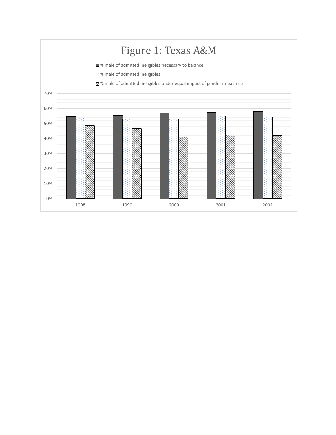